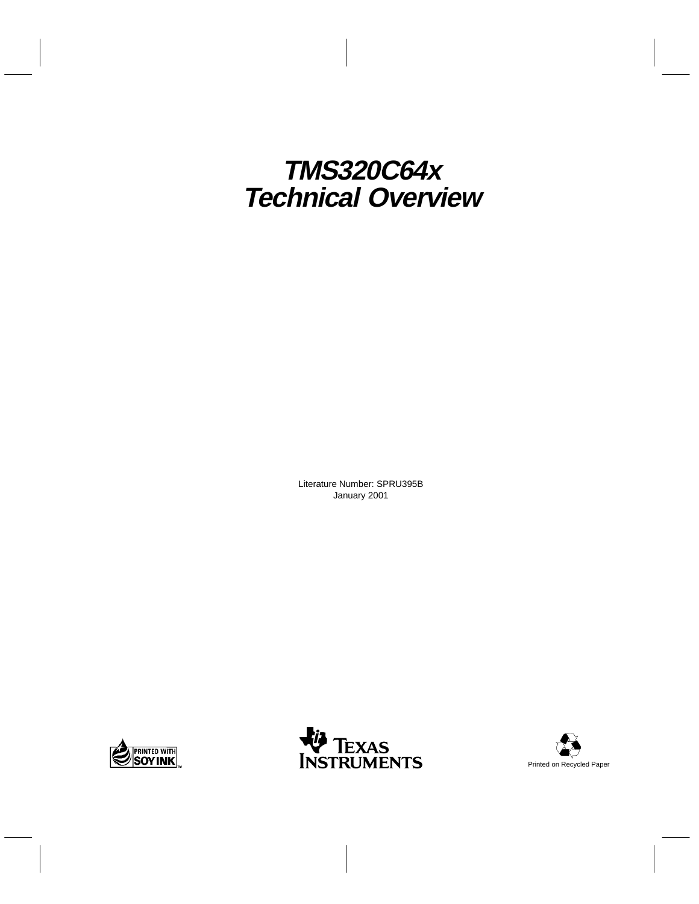## **TMS320C64x Technical Overview**

Literature Number: SPRU395B January 2001





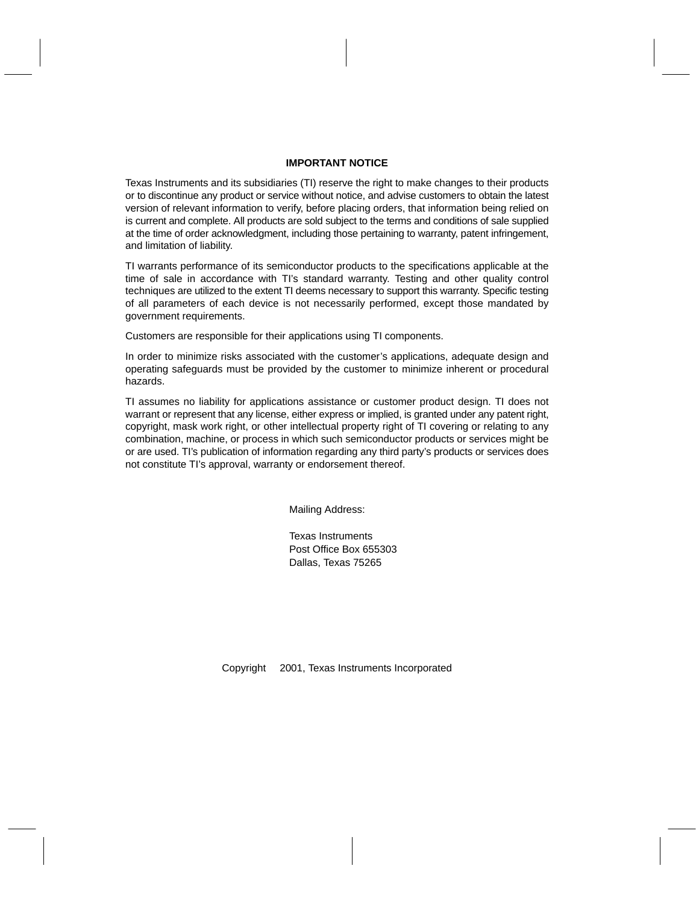#### **IMPORTANT NOTICE**

Texas Instruments and its subsidiaries (TI) reserve the right to make changes to their products or to discontinue any product or service without notice, and advise customers to obtain the latest version of relevant information to verify, before placing orders, that information being relied on is current and complete. All products are sold subject to the terms and conditions of sale supplied at the time of order acknowledgment, including those pertaining to warranty, patent infringement, and limitation of liability.

TI warrants performance of its semiconductor products to the specifications applicable at the time of sale in accordance with TI's standard warranty. Testing and other quality control techniques are utilized to the extent TI deems necessary to support this warranty. Specific testing of all parameters of each device is not necessarily performed, except those mandated by government requirements.

Customers are responsible for their applications using TI components.

In order to minimize risks associated with the customer's applications, adequate design and operating safeguards must be provided by the customer to minimize inherent or procedural hazards.

TI assumes no liability for applications assistance or customer product design. TI does not warrant or represent that any license, either express or implied, is granted under any patent right, copyright, mask work right, or other intellectual property right of TI covering or relating to any combination, machine, or process in which such semiconductor products or services might be or are used. TI's publication of information regarding any third party's products or services does not constitute TI's approval, warranty or endorsement thereof.

Mailing Address:

Texas Instruments Post Office Box 655303 Dallas, Texas 75265

Copyright 2001, Texas Instruments Incorporated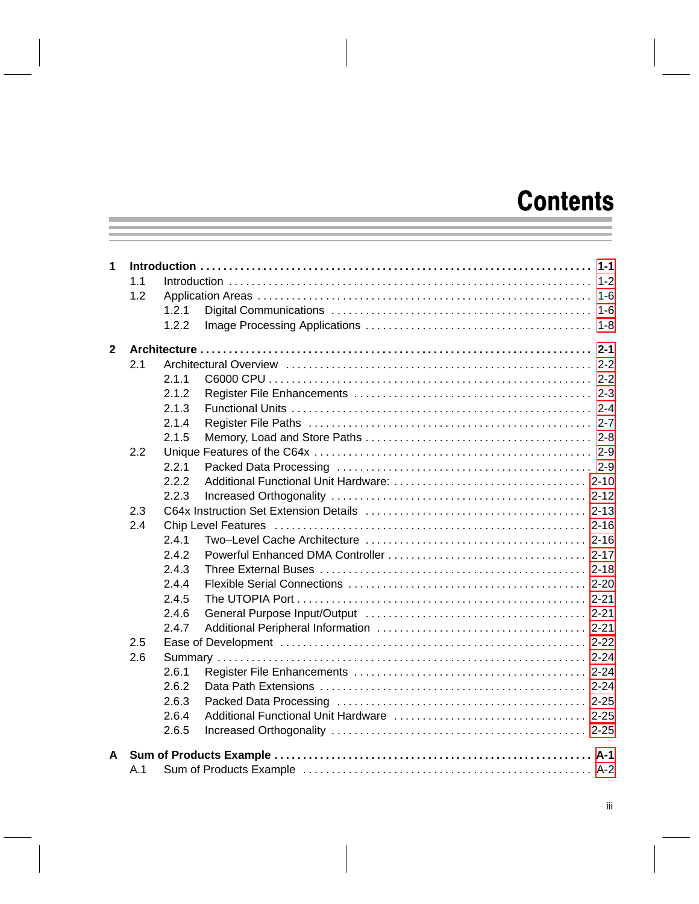## **Contents**

| 1            |     |       |  |  |  |  |
|--------------|-----|-------|--|--|--|--|
|              | 1.1 |       |  |  |  |  |
|              | 1.2 |       |  |  |  |  |
|              |     | 1.2.1 |  |  |  |  |
|              |     | 1.2.2 |  |  |  |  |
| $\mathbf{2}$ |     |       |  |  |  |  |
|              | 2.1 |       |  |  |  |  |
|              |     | 2.1.1 |  |  |  |  |
|              |     | 2.1.2 |  |  |  |  |
|              |     | 2.1.3 |  |  |  |  |
|              |     | 2.1.4 |  |  |  |  |
|              |     | 2.1.5 |  |  |  |  |
|              | 2.2 |       |  |  |  |  |
|              |     | 2.2.1 |  |  |  |  |
|              |     | 2.2.2 |  |  |  |  |
|              |     | 2.2.3 |  |  |  |  |
|              | 2.3 |       |  |  |  |  |
|              | 2.4 |       |  |  |  |  |
|              |     | 2.4.1 |  |  |  |  |
|              |     | 2.4.2 |  |  |  |  |
|              |     | 2.4.3 |  |  |  |  |
|              |     | 2.4.4 |  |  |  |  |
|              |     | 2.4.5 |  |  |  |  |
|              |     | 2.4.6 |  |  |  |  |
|              |     | 2.4.7 |  |  |  |  |
|              | 2.5 |       |  |  |  |  |
|              | 2.6 |       |  |  |  |  |
|              |     | 2.6.1 |  |  |  |  |
|              |     | 2.6.2 |  |  |  |  |
|              |     | 2.6.3 |  |  |  |  |
|              |     | 2.6.4 |  |  |  |  |
|              |     | 2.6.5 |  |  |  |  |
|              |     |       |  |  |  |  |
| A            |     |       |  |  |  |  |
|              | A.1 |       |  |  |  |  |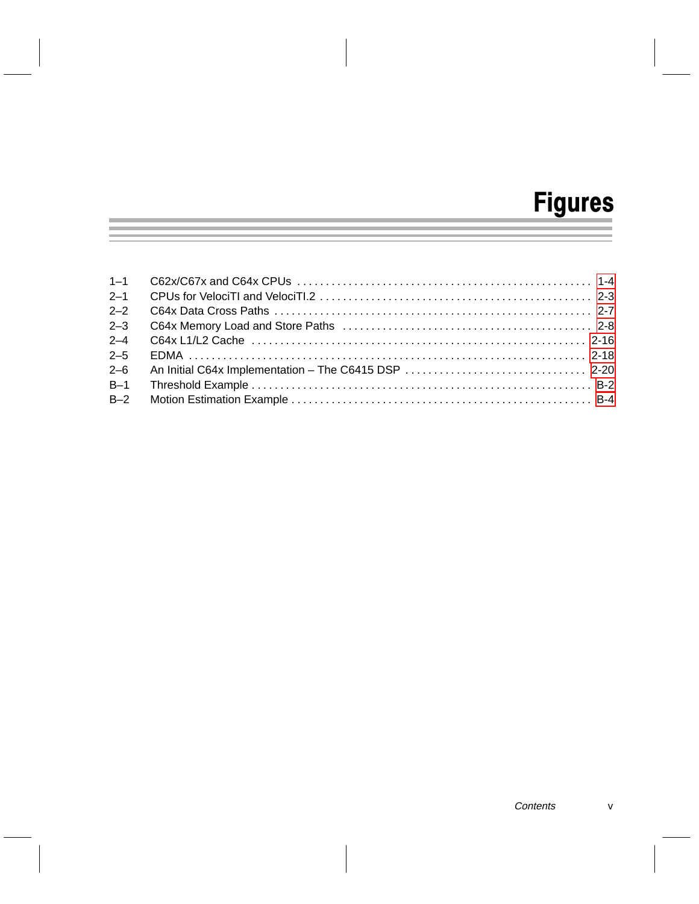# Figures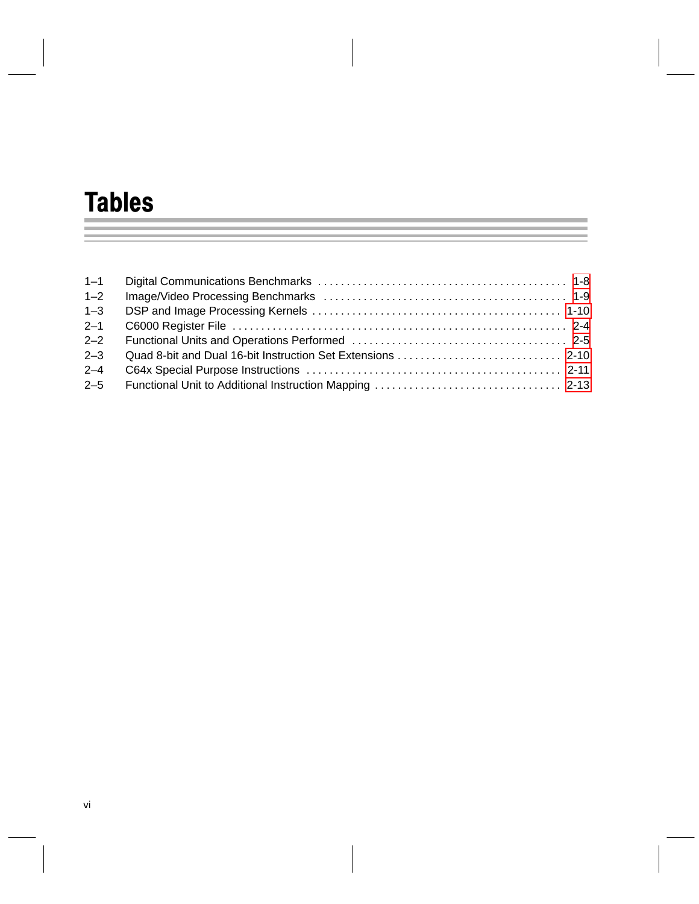# Tables

| $1 - 2$ |  |
|---------|--|
| $1 - 3$ |  |
| $2 - 1$ |  |
| $2 - 2$ |  |
| $2 - 3$ |  |
| $2 - 4$ |  |
|         |  |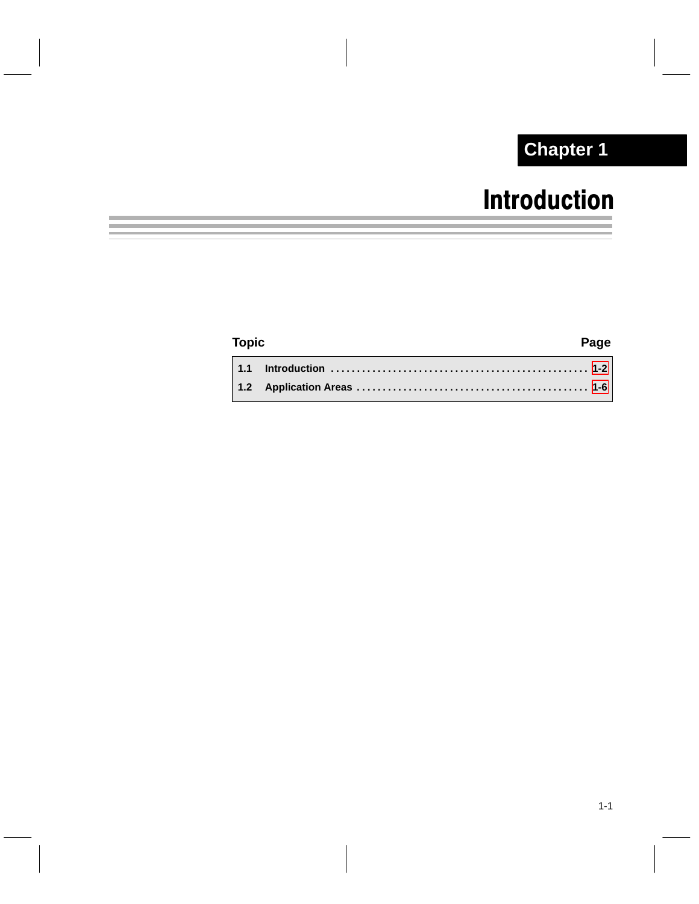## **Chapter 1**

## Introduction

### <span id="page-6-0"></span>**Topic Page 1.1 Introduction [1-2](#page-7-0) . . . . . . . . . . . . . . . . . . . . . . . . . . . . . . . . . . . . . . . . . . . . . . . . . . 1.2 Application Areas [1-6](#page-11-0) . . . . . . . . . . . . . . . . . . . . . . . . . . . . . . . . . . . . . . . . . . . . .**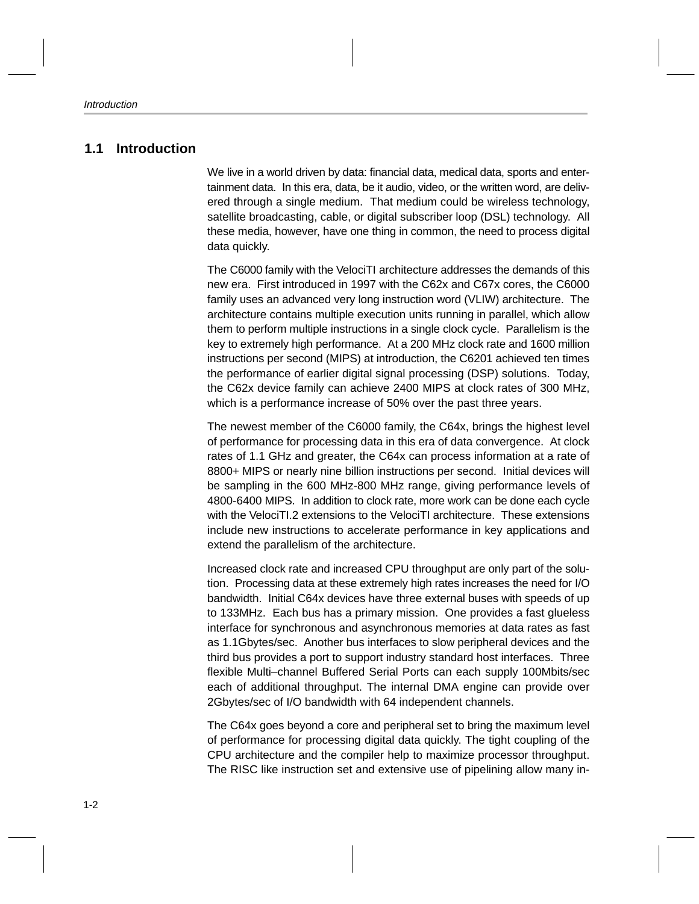### <span id="page-7-0"></span>**1.1 Introduction**

We live in a world driven by data: financial data, medical data, sports and entertainment data. In this era, data, be it audio, video, or the written word, are delivered through a single medium. That medium could be wireless technology, satellite broadcasting, cable, or digital subscriber loop (DSL) technology. All these media, however, have one thing in common, the need to process digital data quickly.

The C6000 family with the VelociTI architecture addresses the demands of this new era. First introduced in 1997 with the C62x and C67x cores, the C6000 family uses an advanced very long instruction word (VLIW) architecture. The architecture contains multiple execution units running in parallel, which allow them to perform multiple instructions in a single clock cycle. Parallelism is the key to extremely high performance. At a 200 MHz clock rate and 1600 million instructions per second (MIPS) at introduction, the C6201 achieved ten times the performance of earlier digital signal processing (DSP) solutions. Today, the C62x device family can achieve 2400 MIPS at clock rates of 300 MHz, which is a performance increase of 50% over the past three years.

The newest member of the C6000 family, the C64x, brings the highest level of performance for processing data in this era of data convergence. At clock rates of 1.1 GHz and greater, the C64x can process information at a rate of 8800+ MIPS or nearly nine billion instructions per second. Initial devices will be sampling in the 600 MHz-800 MHz range, giving performance levels of 4800-6400 MIPS. In addition to clock rate, more work can be done each cycle with the VelociTI.2 extensions to the VelociTI architecture. These extensions include new instructions to accelerate performance in key applications and extend the parallelism of the architecture.

Increased clock rate and increased CPU throughput are only part of the solution. Processing data at these extremely high rates increases the need for I/O bandwidth. Initial C64x devices have three external buses with speeds of up to 133MHz. Each bus has a primary mission. One provides a fast glueless interface for synchronous and asynchronous memories at data rates as fast as 1.1Gbytes/sec. Another bus interfaces to slow peripheral devices and the third bus provides a port to support industry standard host interfaces. Three flexible Multi–channel Buffered Serial Ports can each supply 100Mbits/sec each of additional throughput. The internal DMA engine can provide over 2Gbytes/sec of I/O bandwidth with 64 independent channels.

The C64x goes beyond a core and peripheral set to bring the maximum level of performance for processing digital data quickly. The tight coupling of the CPU architecture and the compiler help to maximize processor throughput. The RISC like instruction set and extensive use of pipelining allow many in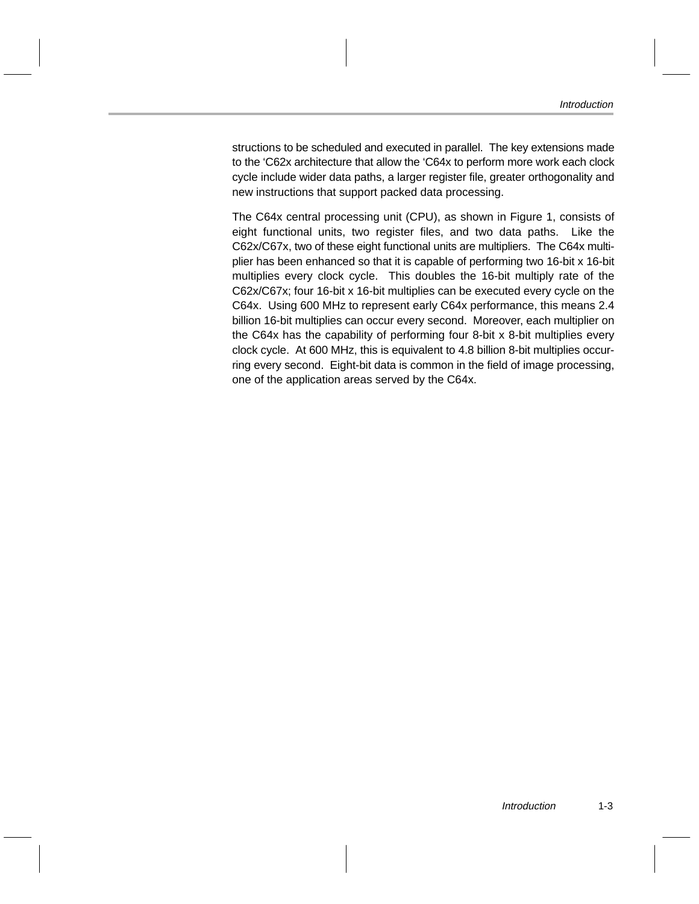structions to be scheduled and executed in parallel. The key extensions made to the 'C62x architecture that allow the 'C64x to perform more work each clock cycle include wider data paths, a larger register file, greater orthogonality and new instructions that support packed data processing.

The C64x central processing unit (CPU), as shown in Figure 1, consists of eight functional units, two register files, and two data paths. Like the C62x/C67x, two of these eight functional units are multipliers. The C64x multiplier has been enhanced so that it is capable of performing two 16-bit x 16-bit multiplies every clock cycle. This doubles the 16-bit multiply rate of the C62x/C67x; four 16-bit x 16-bit multiplies can be executed every cycle on the C64x. Using 600 MHz to represent early C64x performance, this means 2.4 billion 16-bit multiplies can occur every second. Moreover, each multiplier on the C64x has the capability of performing four 8-bit x 8-bit multiplies every clock cycle. At 600 MHz, this is equivalent to 4.8 billion 8-bit multiplies occurring every second. Eight-bit data is common in the field of image processing, one of the application areas served by the C64x.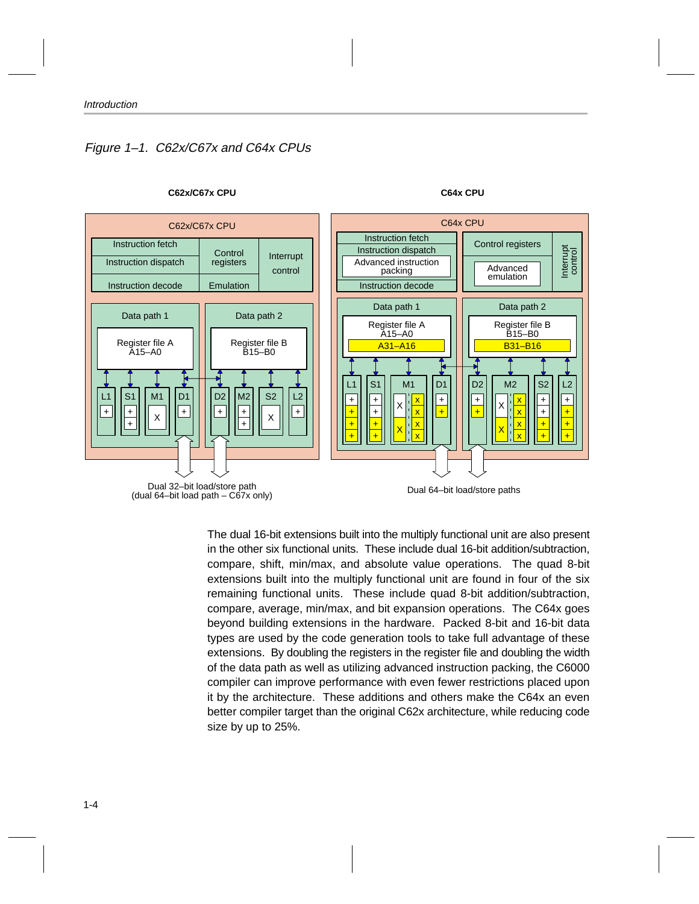### <span id="page-9-0"></span>Figure 1–1. C62x/C67x and C64x CPUs



#### **C62x/C67x CPU C64x CPU**

The dual 16-bit extensions built into the multiply functional unit are also present in the other six functional units. These include dual 16-bit addition/subtraction, compare, shift, min/max, and absolute value operations. The quad 8-bit extensions built into the multiply functional unit are found in four of the six remaining functional units. These include quad 8-bit addition/subtraction, compare, average, min/max, and bit expansion operations. The C64x goes beyond building extensions in the hardware. Packed 8-bit and 16-bit data types are used by the code generation tools to take full advantage of these extensions. By doubling the registers in the register file and doubling the width of the data path as well as utilizing advanced instruction packing, the C6000 compiler can improve performance with even fewer restrictions placed upon it by the architecture. These additions and others make the C64x an even better compiler target than the original C62x architecture, while reducing code size by up to 25%.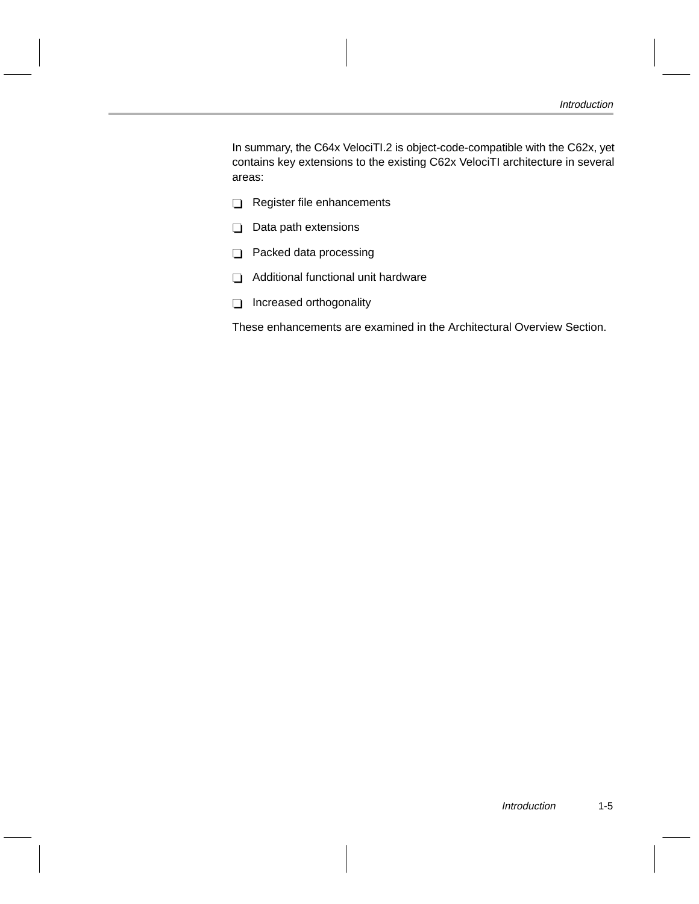In summary, the C64x VelociTI.2 is object-code-compatible with the C62x, yet contains key extensions to the existing C62x VelociTI architecture in several areas:

- Register file enhancements
- $\Box$  Data path extensions
- $\Box$  Packed data processing
- Additional functional unit hardware
- Increased orthogonality

These enhancements are examined in the Architectural Overview Section.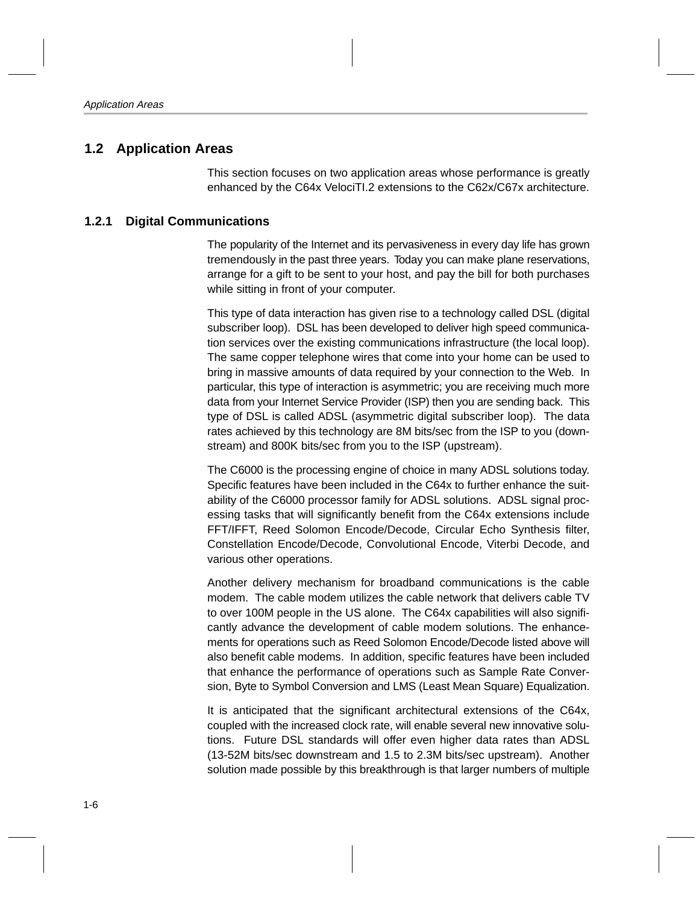### <span id="page-11-0"></span>**1.2 Application Areas**

This section focuses on two application areas whose performance is greatly enhanced by the C64x VelociTI.2 extensions to the C62x/C67x architecture.

### **1.2.1 Digital Communications**

The popularity of the Internet and its pervasiveness in every day life has grown tremendously in the past three years. Today you can make plane reservations, arrange for a gift to be sent to your host, and pay the bill for both purchases while sitting in front of your computer.

This type of data interaction has given rise to a technology called DSL (digital subscriber loop). DSL has been developed to deliver high speed communication services over the existing communications infrastructure (the local loop). The same copper telephone wires that come into your home can be used to bring in massive amounts of data required by your connection to the Web. In particular, this type of interaction is asymmetric; you are receiving much more data from your Internet Service Provider (ISP) then you are sending back. This type of DSL is called ADSL (asymmetric digital subscriber loop). The data rates achieved by this technology are 8M bits/sec from the ISP to you (downstream) and 800K bits/sec from you to the ISP (upstream).

The C6000 is the processing engine of choice in many ADSL solutions today. Specific features have been included in the C64x to further enhance the suitability of the C6000 processor family for ADSL solutions. ADSL signal processing tasks that will significantly benefit from the C64x extensions include FFT/IFFT, Reed Solomon Encode/Decode, Circular Echo Synthesis filter, Constellation Encode/Decode, Convolutional Encode, Viterbi Decode, and various other operations.

Another delivery mechanism for broadband communications is the cable modem. The cable modem utilizes the cable network that delivers cable TV to over 100M people in the US alone. The C64x capabilities will also significantly advance the development of cable modem solutions. The enhancements for operations such as Reed Solomon Encode/Decode listed above will also benefit cable modems. In addition, specific features have been included that enhance the performance of operations such as Sample Rate Conversion, Byte to Symbol Conversion and LMS (Least Mean Square) Equalization.

It is anticipated that the significant architectural extensions of the C64x, coupled with the increased clock rate, will enable several new innovative solutions. Future DSL standards will offer even higher data rates than ADSL (13-52M bits/sec downstream and 1.5 to 2.3M bits/sec upstream). Another solution made possible by this breakthrough is that larger numbers of multiple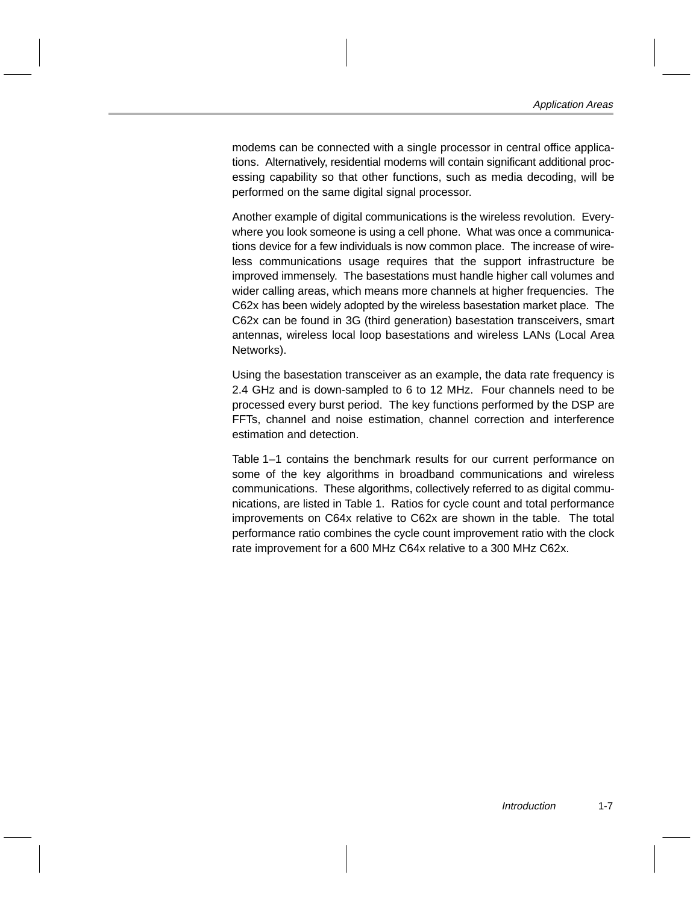modems can be connected with a single processor in central office applications. Alternatively, residential modems will contain significant additional processing capability so that other functions, such as media decoding, will be performed on the same digital signal processor.

Another example of digital communications is the wireless revolution. Everywhere you look someone is using a cell phone. What was once a communications device for a few individuals is now common place. The increase of wireless communications usage requires that the support infrastructure be improved immensely. The basestations must handle higher call volumes and wider calling areas, which means more channels at higher frequencies. The C62x has been widely adopted by the wireless basestation market place. The C62x can be found in 3G (third generation) basestation transceivers, smart antennas, wireless local loop basestations and wireless LANs (Local Area Networks).

Using the basestation transceiver as an example, the data rate frequency is 2.4 GHz and is down-sampled to 6 to 12 MHz. Four channels need to be processed every burst period. The key functions performed by the DSP are FFTs, channel and noise estimation, channel correction and interference estimation and detection.

Table 1–1 contains the benchmark results for our current performance on some of the key algorithms in broadband communications and wireless communications. These algorithms, collectively referred to as digital communications, are listed in Table 1. Ratios for cycle count and total performance improvements on C64x relative to C62x are shown in the table. The total performance ratio combines the cycle count improvement ratio with the clock rate improvement for a 600 MHz C64x relative to a 300 MHz C62x.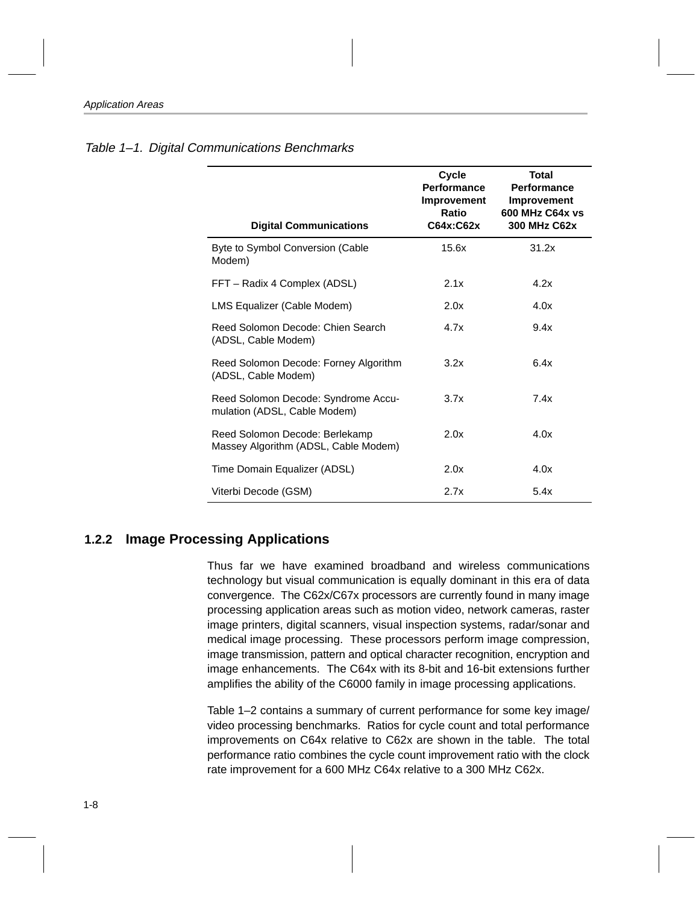| <b>Digital Communications</b>                                          | Cycle<br>Performance<br>Improvement<br>Ratio<br>C64x:C62x | Total<br><b>Performance</b><br><b>Improvement</b><br>600 MHz C64x vs<br>300 MHz C62x |
|------------------------------------------------------------------------|-----------------------------------------------------------|--------------------------------------------------------------------------------------|
| Byte to Symbol Conversion (Cable<br>Modem)                             | 15.6x                                                     | 31.2x                                                                                |
| FFT - Radix 4 Complex (ADSL)                                           | 2.1x                                                      | 4.2x                                                                                 |
| LMS Equalizer (Cable Modem)                                            | 2.0x                                                      | 4.0x                                                                                 |
| Reed Solomon Decode: Chien Search<br>(ADSL, Cable Modem)               | 4.7x                                                      | 9.4x                                                                                 |
| Reed Solomon Decode: Forney Algorithm<br>(ADSL, Cable Modem)           | 3.2x                                                      | 6.4x                                                                                 |
| Reed Solomon Decode: Syndrome Accu-<br>mulation (ADSL, Cable Modem)    | 3.7x                                                      | 7.4x                                                                                 |
| Reed Solomon Decode: Berlekamp<br>Massey Algorithm (ADSL, Cable Modem) | 2.0x                                                      | 4.0x                                                                                 |
| Time Domain Equalizer (ADSL)                                           | 2.0x                                                      | 4.0x                                                                                 |
| Viterbi Decode (GSM)                                                   | 2.7x                                                      | 5.4x                                                                                 |

#### <span id="page-13-0"></span>Table 1–1. Digital Communications Benchmarks

### **1.2.2 Image Processing Applications**

Thus far we have examined broadband and wireless communications technology but visual communication is equally dominant in this era of data convergence. The C62x/C67x processors are currently found in many image processing application areas such as motion video, network cameras, raster image printers, digital scanners, visual inspection systems, radar/sonar and medical image processing. These processors perform image compression, image transmission, pattern and optical character recognition, encryption and image enhancements. The C64x with its 8-bit and 16-bit extensions further amplifies the ability of the C6000 family in image processing applications.

Table 1–2 contains a summary of current performance for some key image/ video processing benchmarks. Ratios for cycle count and total performance improvements on C64x relative to C62x are shown in the table. The total performance ratio combines the cycle count improvement ratio with the clock rate improvement for a 600 MHz C64x relative to a 300 MHz C62x.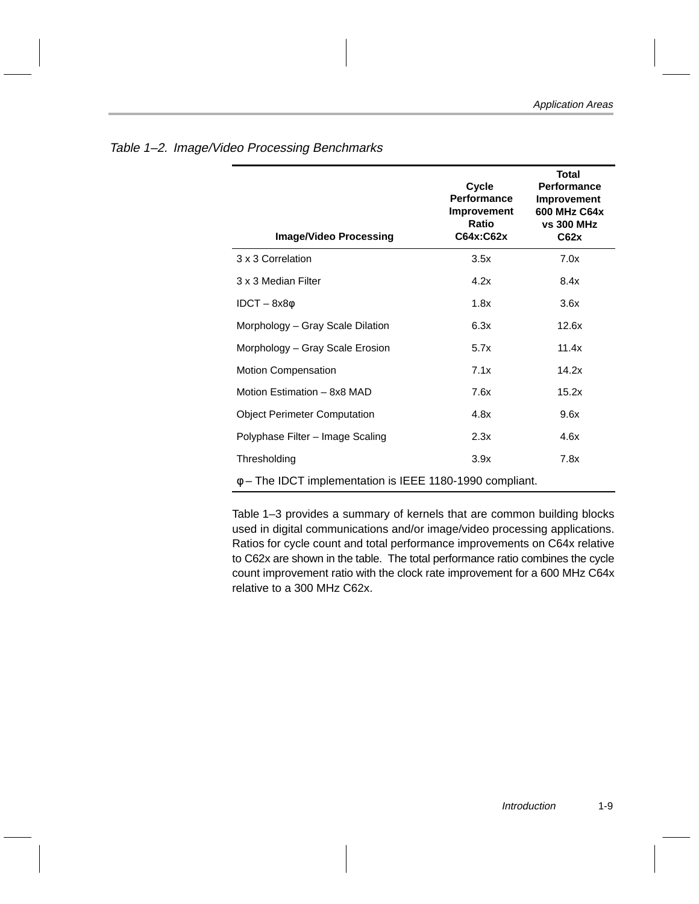| <b>Image/Video Processing</b>                                 | Cycle<br><b>Performance</b><br>Improvement<br>Ratio<br>C64x:C62x | <b>Total</b><br><b>Performance</b><br>Improvement<br>600 MHz C64x<br><b>vs 300 MHz</b><br>C62x |  |  |
|---------------------------------------------------------------|------------------------------------------------------------------|------------------------------------------------------------------------------------------------|--|--|
| 3 x 3 Correlation                                             | 3.5x                                                             | 7.0x                                                                                           |  |  |
| 3 x 3 Median Filter                                           | 4.2x                                                             | 8.4x                                                                                           |  |  |
| $IDCT - 8x8φ$                                                 | 1.8x                                                             | 3.6x                                                                                           |  |  |
| Morphology – Gray Scale Dilation                              | 6.3x                                                             | 12.6x                                                                                          |  |  |
| Morphology - Gray Scale Erosion                               | 5.7x                                                             | 11.4x                                                                                          |  |  |
| <b>Motion Compensation</b>                                    | 7.1x                                                             | 14.2x                                                                                          |  |  |
| Motion Estimation - 8x8 MAD                                   | 7.6x                                                             | 15.2x                                                                                          |  |  |
| <b>Object Perimeter Computation</b>                           | 4.8x                                                             | 9.6x                                                                                           |  |  |
| Polyphase Filter - Image Scaling                              | 2.3x                                                             | 4.6x                                                                                           |  |  |
| Thresholding                                                  | 3.9x                                                             | 7.8x                                                                                           |  |  |
| $\phi$ – The IDCT implementation is IEEE 1180-1990 compliant. |                                                                  |                                                                                                |  |  |

### <span id="page-14-0"></span>Table 1–2. Image/Video Processing Benchmarks

Table 1–3 provides a summary of kernels that are common building blocks used in digital communications and/or image/video processing applications. Ratios for cycle count and total performance improvements on C64x relative to C62x are shown in the table. The total performance ratio combines the cycle count improvement ratio with the clock rate improvement for a 600 MHz C64x relative to a 300 MHz C62x.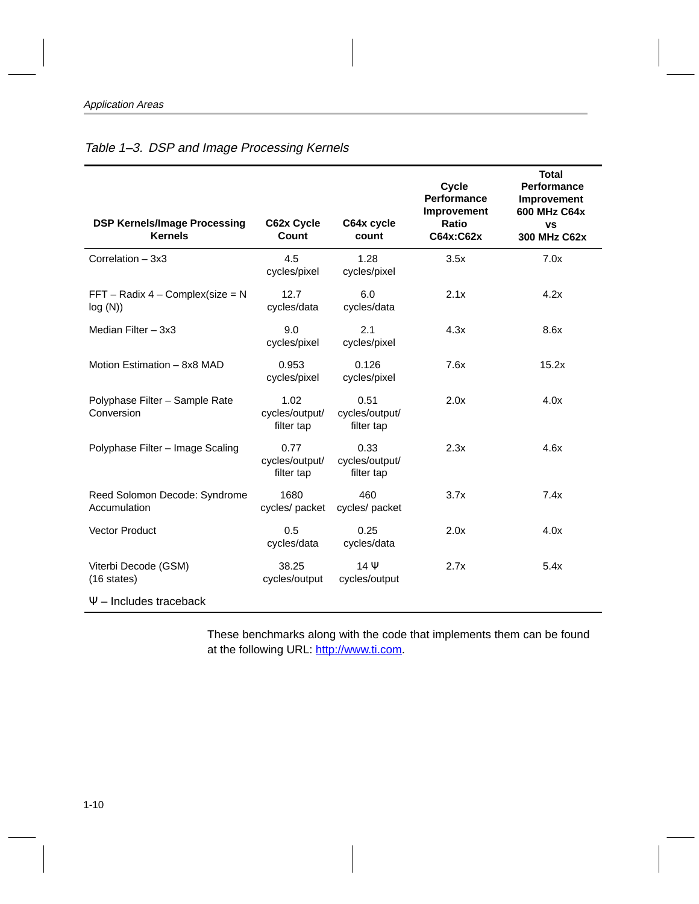| <b>DSP Kernels/Image Processing</b><br><b>Kernels</b> | C62x Cycle<br>Count                  | C64x cycle<br>count                  | <b>Cycle</b><br><b>Performance</b><br>Improvement<br>Ratio<br>C64x:C62x | <b>Total</b><br>Performance<br>Improvement<br>600 MHz C64x<br><b>VS</b><br>300 MHz C62x |
|-------------------------------------------------------|--------------------------------------|--------------------------------------|-------------------------------------------------------------------------|-----------------------------------------------------------------------------------------|
| Correlation $-3x3$                                    | 4.5<br>cycles/pixel                  | 1.28<br>cycles/pixel                 | 3.5x                                                                    | 7.0x                                                                                    |
| $FFT - Radix 4 - Complex(size = N$<br>log(N))         | 12.7<br>cycles/data                  | 6.0<br>cycles/data                   | 2.1x                                                                    | 4.2x                                                                                    |
| Median Filter $-3x3$                                  | 9.0<br>cycles/pixel                  | 2.1<br>cycles/pixel                  | 4.3x                                                                    | 8.6x                                                                                    |
| Motion Estimation - 8x8 MAD                           | 0.953<br>cycles/pixel                | 0.126<br>cycles/pixel                | 7.6x                                                                    | 15.2x                                                                                   |
| Polyphase Filter - Sample Rate<br>Conversion          | 1.02<br>cycles/output/<br>filter tap | 0.51<br>cycles/output/<br>filter tap | 2.0x                                                                    | 4.0x                                                                                    |
| Polyphase Filter - Image Scaling                      | 0.77<br>cycles/output/<br>filter tap | 0.33<br>cycles/output/<br>filter tap | 2.3x                                                                    | 4.6x                                                                                    |
| Reed Solomon Decode: Syndrome<br>Accumulation         | 1680<br>cycles/ packet               | 460<br>cycles/ packet                | 3.7x                                                                    | 7.4x                                                                                    |
| <b>Vector Product</b>                                 | 0.5<br>cycles/data                   | 0.25<br>cycles/data                  | 2.0x                                                                    | 4.0x                                                                                    |
| Viterbi Decode (GSM)<br>$(16 \text{ states})$         | 38.25<br>cycles/output               | $14 \Psi$<br>cycles/output           | 2.7x                                                                    | 5.4x                                                                                    |
| $\Psi$ – Includes traceback                           |                                      |                                      |                                                                         |                                                                                         |

### <span id="page-15-0"></span>Table 1-3. DSP and Image Processing Kernels

These benchmarks along with the code that implements them can be found at the following URL: http://www.ti.com.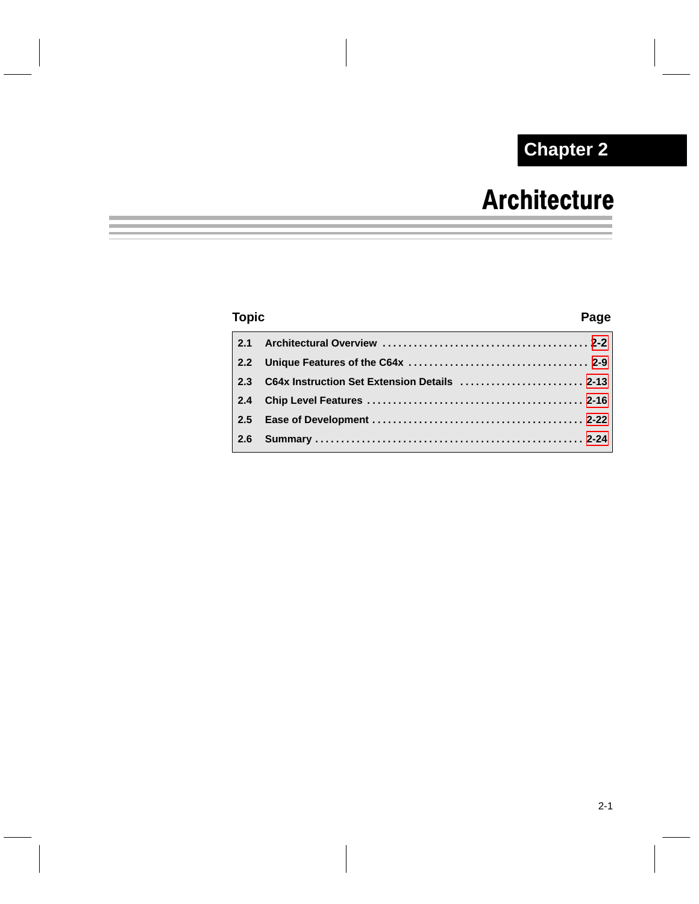## **Chapter 2**

## **Architecture**

### <span id="page-16-0"></span>**Topic Page 2.1 Architectural Overview . . . . . . . . . . . . . . . . . . . . . . . . . . . . . . . . . . . . . . . . [2-2](#page-17-0) 2.2 Unique Features of the C64x [2-9](#page-24-0) . . . . . . . . . . . . . . . . . . . . . . . . . . . . . . . . . . . 2.3 C64x Instruction Set Extension Details [2-13](#page-28-0) . . . . . . . . . . . . . . . . . . . . . . . . 2.4 Chip Level Features [2-16](#page-31-0) . . . . . . . . . . . . . . . . . . . . . . . . . . . . . . . . . . . . . . . . . . 2.5 Ease of Development [2-22](#page-37-0) . . . . . . . . . . . . . . . . . . . . . . . . . . . . . . . . . . . . . . . . . 2.6 Summary [2-24](#page-39-0) . . . . . . . . . . . . . . . . . . . . . . . . . . . . . . . . . . . . . . . . . . . . . . . . . . . .**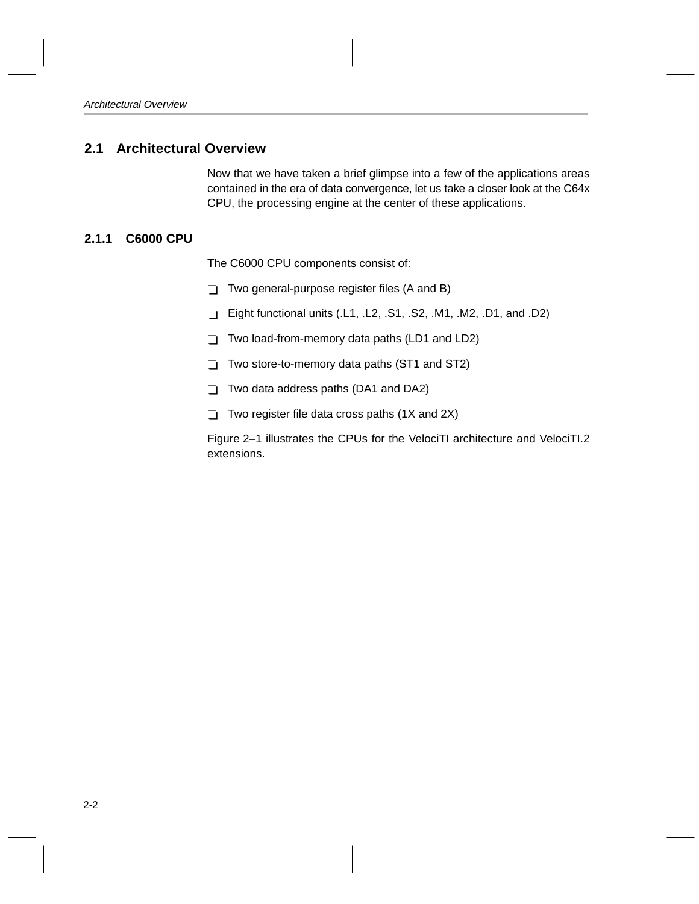### <span id="page-17-0"></span>**2.1 Architectural Overview**

Now that we have taken a brief glimpse into a few of the applications areas contained in the era of data convergence, let us take a closer look at the C64x CPU, the processing engine at the center of these applications.

### **2.1.1 C6000 CPU**

The C6000 CPU components consist of:

- $\Box$  Two general-purpose register files (A and B)
- Eight functional units  $(L1, L2, S1, S2, M1, M2, D1, and D2)$
- $\Box$  Two load-from-memory data paths (LD1 and LD2)
- $\Box$  Two store-to-memory data paths (ST1 and ST2)
- $\Box$  Two data address paths (DA1 and DA2)
- $\Box$  Two register file data cross paths (1X and 2X)

Figure 2–1 illustrates the CPUs for the VelociTI architecture and VelociTI.2 extensions.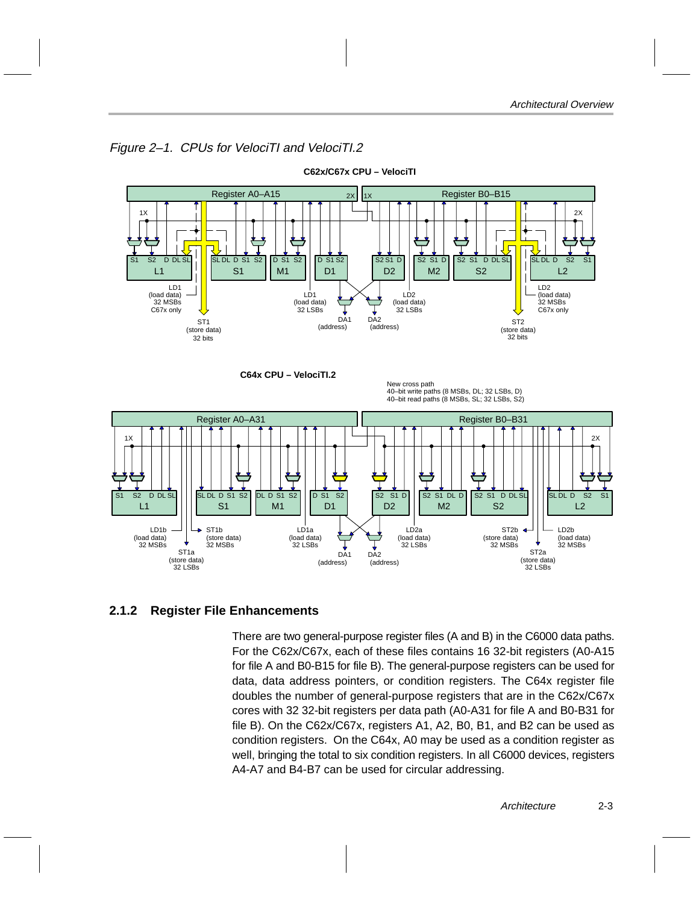<span id="page-18-0"></span>

### Figure 2–1. CPUs for VelociTI and VelociTI.2

### **2.1.2 Register File Enhancements**

There are two general-purpose register files (A and B) in the C6000 data paths. For the C62x/C67x, each of these files contains 16 32-bit registers (A0-A15 for file A and B0-B15 for file B). The general-purpose registers can be used for data, data address pointers, or condition registers. The C64x register file doubles the number of general-purpose registers that are in the C62x/C67x cores with 32 32-bit registers per data path (A0-A31 for file A and B0-B31 for file B). On the C62x/C67x, registers A1, A2, B0, B1, and B2 can be used as condition registers. On the C64x, A0 may be used as a condition register as well, bringing the total to six condition registers. In all C6000 devices, registers A4-A7 and B4-B7 can be used for circular addressing.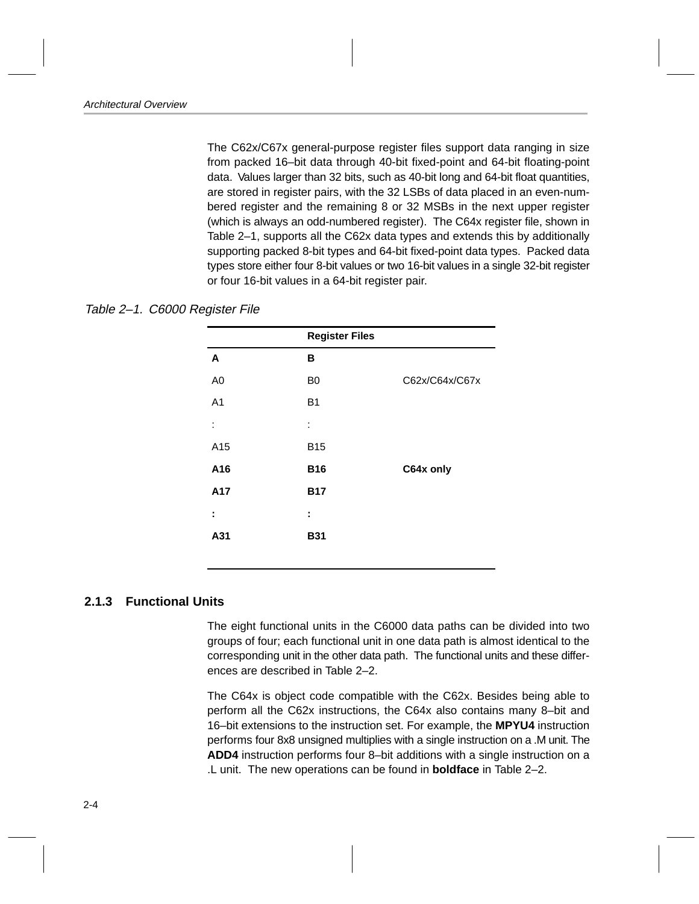<span id="page-19-0"></span>The C62x/C67x general-purpose register files support data ranging in size from packed 16–bit data through 40-bit fixed-point and 64-bit floating-point data. Values larger than 32 bits, such as 40-bit long and 64-bit float quantities, are stored in register pairs, with the 32 LSBs of data placed in an even-numbered register and the remaining 8 or 32 MSBs in the next upper register (which is always an odd-numbered register). The C64x register file, shown in Table 2–1, supports all the C62x data types and extends this by additionally supporting packed 8-bit types and 64-bit fixed-point data types. Packed data types store either four 8-bit values or two 16-bit values in a single 32-bit register or four 16-bit values in a 64-bit register pair.

|                | <b>Register Files</b> |                |
|----------------|-----------------------|----------------|
| A              | в                     |                |
| A <sub>0</sub> | B <sub>0</sub>        | C62x/C64x/C67x |
| A <sub>1</sub> | <b>B1</b>             |                |
| İ              | ÷                     |                |
| A15            | <b>B15</b>            |                |
| A16            | <b>B16</b>            | C64x only      |
| A17            | <b>B17</b>            |                |
| ÷              | ÷                     |                |
| A31            | <b>B31</b>            |                |

Table 2–1. C6000 Register File

### **2.1.3 Functional Units**

The eight functional units in the C6000 data paths can be divided into two groups of four; each functional unit in one data path is almost identical to the corresponding unit in the other data path. The functional units and these differences are described in Table 2–2.

The C64x is object code compatible with the C62x. Besides being able to perform all the C62x instructions, the C64x also contains many 8–bit and 16–bit extensions to the instruction set. For example, the **MPYU4** instruction performs four 8x8 unsigned multiplies with a single instruction on a .M unit. The **ADD4** instruction performs four 8–bit additions with a single instruction on a .L unit. The new operations can be found in **boldface** in Table 2–2.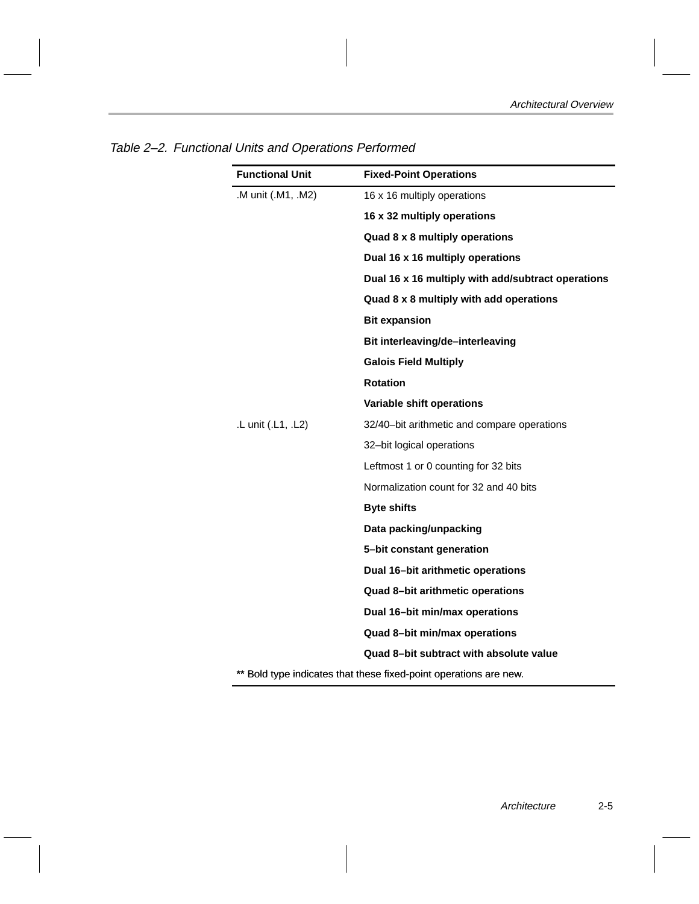| <b>Functional Unit</b>                                            | <b>Fixed-Point Operations</b>                      |  |  |
|-------------------------------------------------------------------|----------------------------------------------------|--|--|
| .M unit (.M1, .M2)                                                | 16 x 16 multiply operations                        |  |  |
|                                                                   | 16 x 32 multiply operations                        |  |  |
|                                                                   | Quad 8 x 8 multiply operations                     |  |  |
|                                                                   | Dual 16 x 16 multiply operations                   |  |  |
|                                                                   | Dual 16 x 16 multiply with add/subtract operations |  |  |
|                                                                   | Quad 8 x 8 multiply with add operations            |  |  |
|                                                                   | <b>Bit expansion</b>                               |  |  |
|                                                                   | Bit interleaving/de-interleaving                   |  |  |
|                                                                   | <b>Galois Field Multiply</b>                       |  |  |
|                                                                   | <b>Rotation</b>                                    |  |  |
|                                                                   | Variable shift operations                          |  |  |
| .L unit (.L1, .L2)                                                | 32/40-bit arithmetic and compare operations        |  |  |
|                                                                   | 32-bit logical operations                          |  |  |
|                                                                   | Leftmost 1 or 0 counting for 32 bits               |  |  |
|                                                                   | Normalization count for 32 and 40 bits             |  |  |
|                                                                   | <b>Byte shifts</b>                                 |  |  |
|                                                                   | Data packing/unpacking                             |  |  |
|                                                                   | 5-bit constant generation                          |  |  |
|                                                                   | Dual 16-bit arithmetic operations                  |  |  |
|                                                                   | Quad 8-bit arithmetic operations                   |  |  |
|                                                                   | Dual 16-bit min/max operations                     |  |  |
|                                                                   | Quad 8-bit min/max operations                      |  |  |
|                                                                   | Quad 8-bit subtract with absolute value            |  |  |
| ** Bold type indicates that these fixed-point operations are new. |                                                    |  |  |

<span id="page-20-0"></span>Table 2–2. Functional Units and Operations Performed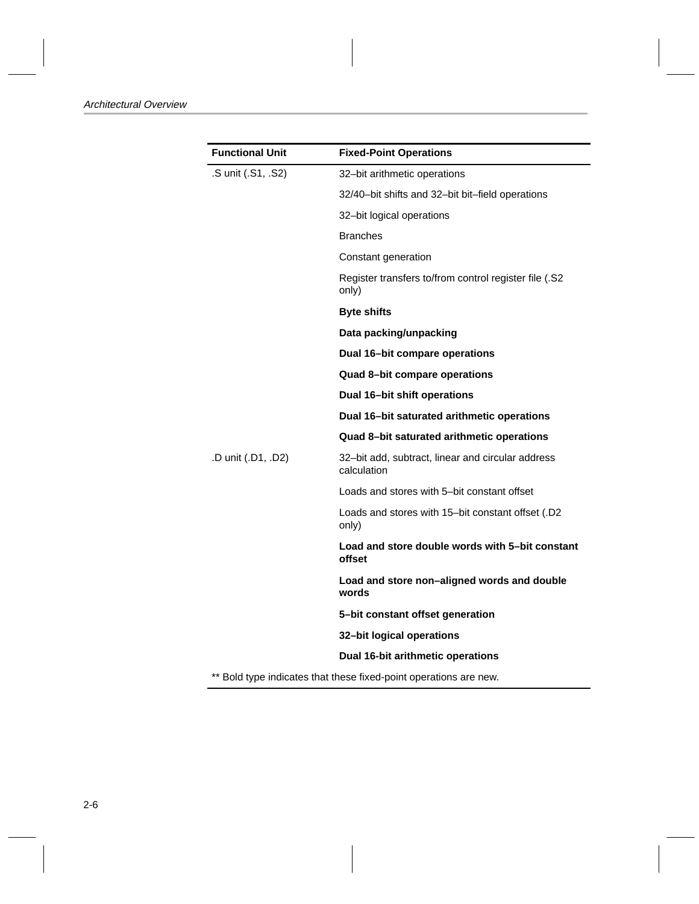| <b>Functional Unit</b>                                            | <b>Fixed-Point Operations</b>                                    |  |
|-------------------------------------------------------------------|------------------------------------------------------------------|--|
| .S unit (.S1, .S2)                                                | 32-bit arithmetic operations                                     |  |
|                                                                   | 32/40-bit shifts and 32-bit bit-field operations                 |  |
|                                                                   | 32-bit logical operations                                        |  |
|                                                                   | <b>Branches</b>                                                  |  |
|                                                                   | Constant generation                                              |  |
|                                                                   | Register transfers to/from control register file (.S2<br>only)   |  |
|                                                                   | <b>Byte shifts</b>                                               |  |
|                                                                   | Data packing/unpacking                                           |  |
|                                                                   | Dual 16-bit compare operations                                   |  |
|                                                                   | Quad 8-bit compare operations                                    |  |
|                                                                   | Dual 16-bit shift operations                                     |  |
|                                                                   | Dual 16-bit saturated arithmetic operations                      |  |
|                                                                   | Quad 8-bit saturated arithmetic operations                       |  |
| .D unit (.D1, .D2)                                                | 32-bit add, subtract, linear and circular address<br>calculation |  |
|                                                                   | Loads and stores with 5-bit constant offset                      |  |
|                                                                   | Loads and stores with 15-bit constant offset (.D2<br>only)       |  |
|                                                                   | Load and store double words with 5-bit constant<br>offset        |  |
|                                                                   | Load and store non-aligned words and double<br>words             |  |
|                                                                   | 5-bit constant offset generation                                 |  |
|                                                                   | 32-bit logical operations                                        |  |
|                                                                   | Dual 16-bit arithmetic operations                                |  |
| ** Bold type indicates that these fixed-point operations are new. |                                                                  |  |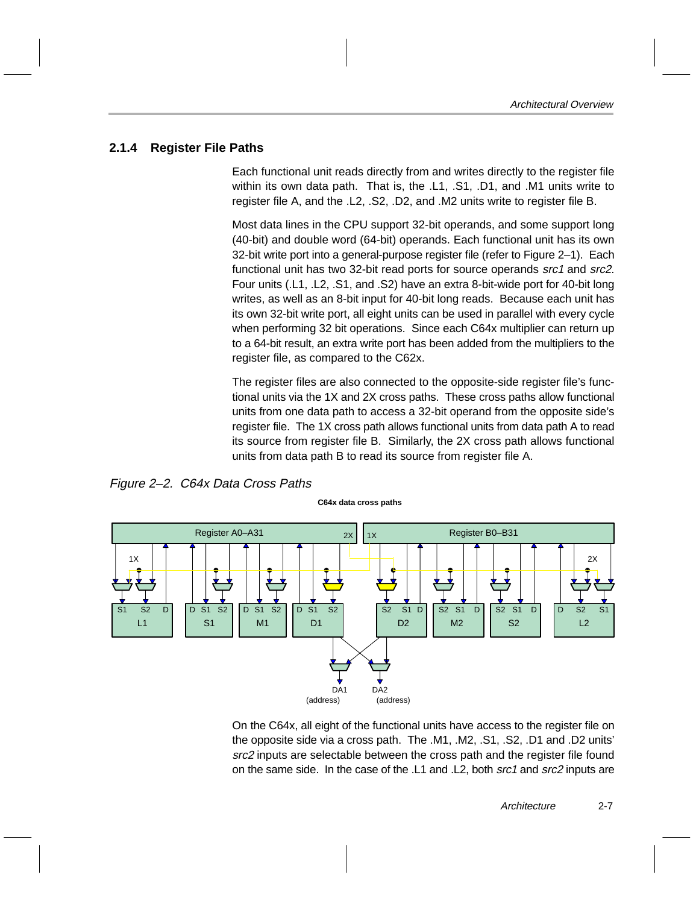### <span id="page-22-0"></span>**2.1.4 Register File Paths**

Each functional unit reads directly from and writes directly to the register file within its own data path. That is, the .L1, .S1, .D1, and .M1 units write to register file A, and the .L2, .S2, .D2, and .M2 units write to register file B.

Most data lines in the CPU support 32-bit operands, and some support long (40-bit) and double word (64-bit) operands. Each functional unit has its own 32-bit write port into a general-purpose register file (refer to Figure 2–1). Each functional unit has two 32-bit read ports for source operands src1 and src2. Four units (.L1, .L2, .S1, and .S2) have an extra 8-bit-wide port for 40-bit long writes, as well as an 8-bit input for 40-bit long reads. Because each unit has its own 32-bit write port, all eight units can be used in parallel with every cycle when performing 32 bit operations. Since each C64x multiplier can return up to a 64-bit result, an extra write port has been added from the multipliers to the register file, as compared to the C62x.

The register files are also connected to the opposite-side register file's functional units via the 1X and 2X cross paths. These cross paths allow functional units from one data path to access a 32-bit operand from the opposite side's register file. The 1X cross path allows functional units from data path A to read its source from register file B. Similarly, the 2X cross path allows functional units from data path B to read its source from register file A.

Figure 2–2. C64x Data Cross Paths



On the C64x, all eight of the functional units have access to the register file on the opposite side via a cross path. The .M1, .M2, .S1, .S2, .D1 and .D2 units' src2 inputs are selectable between the cross path and the register file found on the same side. In the case of the .L1 and .L2, both src1 and src2 inputs are

Architecture 2-7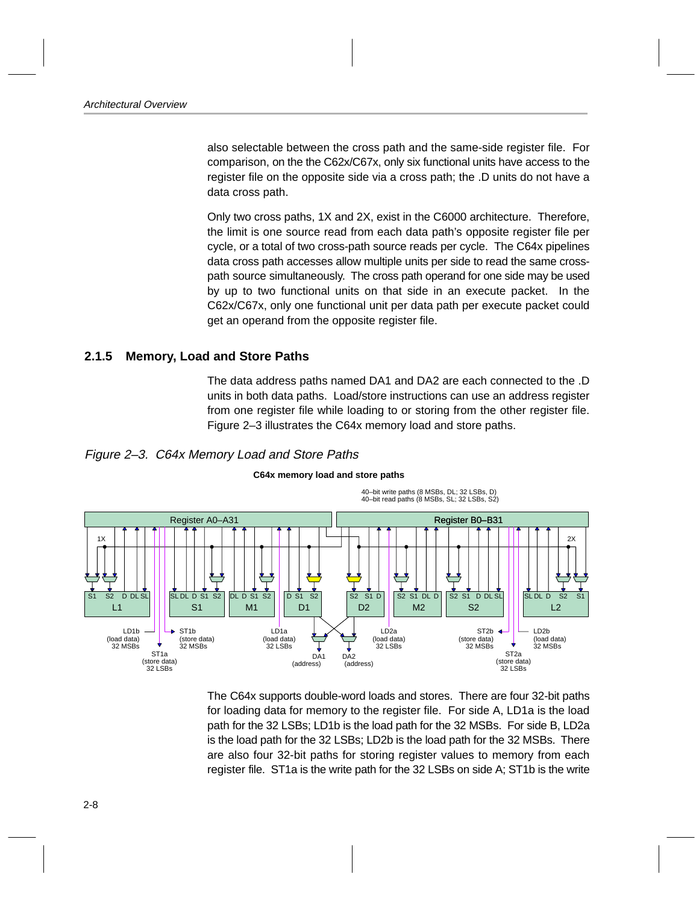<span id="page-23-0"></span>also selectable between the cross path and the same-side register file. For comparison, on the the C62x/C67x, only six functional units have access to the register file on the opposite side via a cross path; the .D units do not have a data cross path.

Only two cross paths, 1X and 2X, exist in the C6000 architecture. Therefore, the limit is one source read from each data path's opposite register file per cycle, or a total of two cross-path source reads per cycle. The C64x pipelines data cross path accesses allow multiple units per side to read the same crosspath source simultaneously. The cross path operand for one side may be used by up to two functional units on that side in an execute packet. In the C62x/C67x, only one functional unit per data path per execute packet could get an operand from the opposite register file.

### **2.1.5 Memory, Load and Store Paths**

The data address paths named DA1 and DA2 are each connected to the .D units in both data paths. Load/store instructions can use an address register from one register file while loading to or storing from the other register file. Figure 2–3 illustrates the C64x memory load and store paths.





#### **C64x memory load and store paths**

The C64x supports double-word loads and stores. There are four 32-bit paths for loading data for memory to the register file. For side A, LD1a is the load path for the 32 LSBs; LD1b is the load path for the 32 MSBs. For side B, LD2a is the load path for the 32 LSBs; LD2b is the load path for the 32 MSBs. There are also four 32-bit paths for storing register values to memory from each register file. ST1a is the write path for the 32 LSBs on side A; ST1b is the write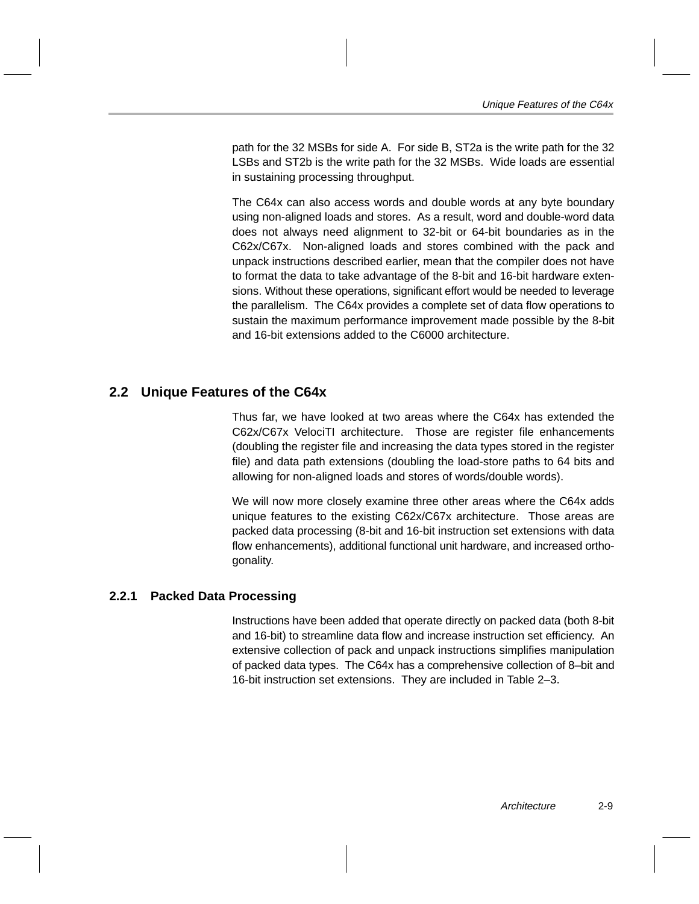<span id="page-24-0"></span>path for the 32 MSBs for side A. For side B, ST2a is the write path for the 32 LSBs and ST2b is the write path for the 32 MSBs. Wide loads are essential in sustaining processing throughput.

The C64x can also access words and double words at any byte boundary using non-aligned loads and stores. As a result, word and double-word data does not always need alignment to 32-bit or 64-bit boundaries as in the C62x/C67x. Non-aligned loads and stores combined with the pack and unpack instructions described earlier, mean that the compiler does not have to format the data to take advantage of the 8-bit and 16-bit hardware extensions. Without these operations, significant effort would be needed to leverage the parallelism. The C64x provides a complete set of data flow operations to sustain the maximum performance improvement made possible by the 8-bit and 16-bit extensions added to the C6000 architecture.

### **2.2 Unique Features of the C64x**

Thus far, we have looked at two areas where the C64x has extended the C62x/C67x VelociTI architecture. Those are register file enhancements (doubling the register file and increasing the data types stored in the register file) and data path extensions (doubling the load-store paths to 64 bits and allowing for non-aligned loads and stores of words/double words).

We will now more closely examine three other areas where the C64x adds unique features to the existing C62x/C67x architecture. Those areas are packed data processing (8-bit and 16-bit instruction set extensions with data flow enhancements), additional functional unit hardware, and increased orthogonality.

#### **2.2.1 Packed Data Processing**

Instructions have been added that operate directly on packed data (both 8-bit and 16-bit) to streamline data flow and increase instruction set efficiency. An extensive collection of pack and unpack instructions simplifies manipulation of packed data types. The C64x has a comprehensive collection of 8–bit and 16-bit instruction set extensions. They are included in Table 2–3.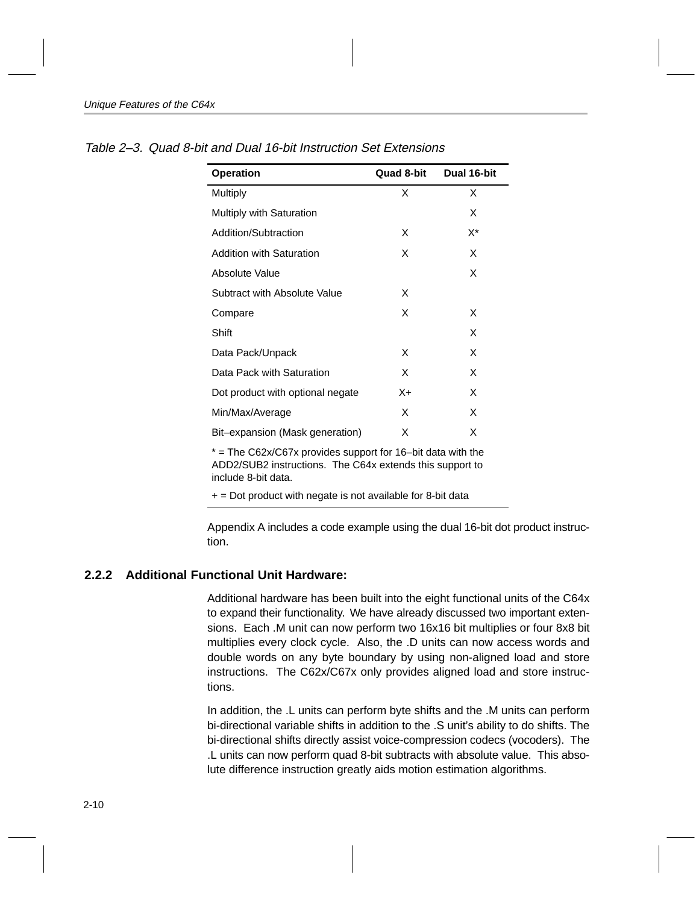| <b>Operation</b>                 | Quad 8-bit | Dual 16-bit |
|----------------------------------|------------|-------------|
| Multiply                         | X          | X           |
| <b>Multiply with Saturation</b>  |            | X           |
| Addition/Subtraction             | x          | X*          |
| <b>Addition with Saturation</b>  | X          | X           |
| Absolute Value                   |            | X           |
| Subtract with Absolute Value     | x          |             |
| Compare                          | X          | X           |
| Shift                            |            | X           |
| Data Pack/Unpack                 | x          | X           |
| Data Pack with Saturation        | X          | X           |
| Dot product with optional negate | X+         | X           |
| Min/Max/Average                  | x          | x           |
| Bit-expansion (Mask generation)  | X          | X           |

<span id="page-25-0"></span>Table 2–3. Quad 8-bit and Dual 16-bit Instruction Set Extensions

 $*$  = The C62x/C67x provides support for 16-bit data with the ADD2/SUB2 instructions. The C64x extends this support to include 8-bit data.

 $+$  = Dot product with negate is not available for 8-bit data

Appendix A includes a code example using the dual 16-bit dot product instruction.

#### **2.2.2 Additional Functional Unit Hardware:**

Additional hardware has been built into the eight functional units of the C64x to expand their functionality. We have already discussed two important extensions. Each .M unit can now perform two 16x16 bit multiplies or four 8x8 bit multiplies every clock cycle. Also, the .D units can now access words and double words on any byte boundary by using non-aligned load and store instructions. The C62x/C67x only provides aligned load and store instructions.

In addition, the .L units can perform byte shifts and the .M units can perform bi-directional variable shifts in addition to the .S unit's ability to do shifts. The bi-directional shifts directly assist voice-compression codecs (vocoders). The .L units can now perform quad 8-bit subtracts with absolute value. This absolute difference instruction greatly aids motion estimation algorithms.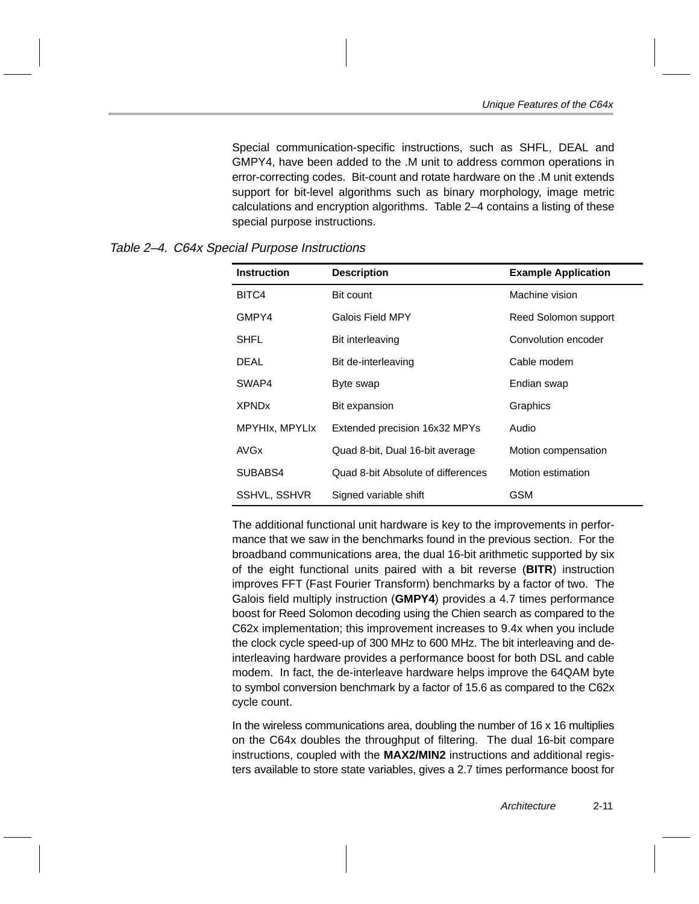Special communication-specific instructions, such as SHFL, DEAL and GMPY4, have been added to the .M unit to address common operations in error-correcting codes. Bit-count and rotate hardware on the .M unit extends support for bit-level algorithms such as binary morphology, image metric calculations and encryption algorithms. Table 2–4 contains a listing of these special purpose instructions.

| <b>Instruction</b>      | <b>Description</b>                 | <b>Example Application</b> |
|-------------------------|------------------------------------|----------------------------|
| BITC4                   | Bit count                          | Machine vision             |
| GMPY4                   | Galois Field MPY                   | Reed Solomon support       |
| SHFL                    | Bit interleaving                   | Convolution encoder        |
| DEAL                    | Bit de-interleaving                | Cable modem                |
| SWAP4                   | Byte swap                          | Endian swap                |
| <b>XPND<sub>x</sub></b> | Bit expansion                      | Graphics                   |
| MPYHIx, MPYLIx          | Extended precision 16x32 MPYs      | Audio                      |
| AVG <sub>x</sub>        | Quad 8-bit, Dual 16-bit average    | Motion compensation        |
| SUBABS4                 | Quad 8-bit Absolute of differences | Motion estimation          |
| SSHVL, SSHVR            | Signed variable shift              | GSM                        |

#### <span id="page-26-0"></span>Table 2–4. C64x Special Purpose Instructions

The additional functional unit hardware is key to the improvements in performance that we saw in the benchmarks found in the previous section. For the broadband communications area, the dual 16-bit arithmetic supported by six of the eight functional units paired with a bit reverse (**BITR**) instruction improves FFT (Fast Fourier Transform) benchmarks by a factor of two. The Galois field multiply instruction (**GMPY4**) provides a 4.7 times performance boost for Reed Solomon decoding using the Chien search as compared to the C62x implementation; this improvement increases to 9.4x when you include the clock cycle speed-up of 300 MHz to 600 MHz. The bit interleaving and deinterleaving hardware provides a performance boost for both DSL and cable modem. In fact, the de-interleave hardware helps improve the 64QAM byte to symbol conversion benchmark by a factor of 15.6 as compared to the C62x cycle count.

In the wireless communications area, doubling the number of  $16 \times 16$  multiplies on the C64x doubles the throughput of filtering. The dual 16-bit compare instructions, coupled with the **MAX2/MIN2** instructions and additional registers available to store state variables, gives a 2.7 times performance boost for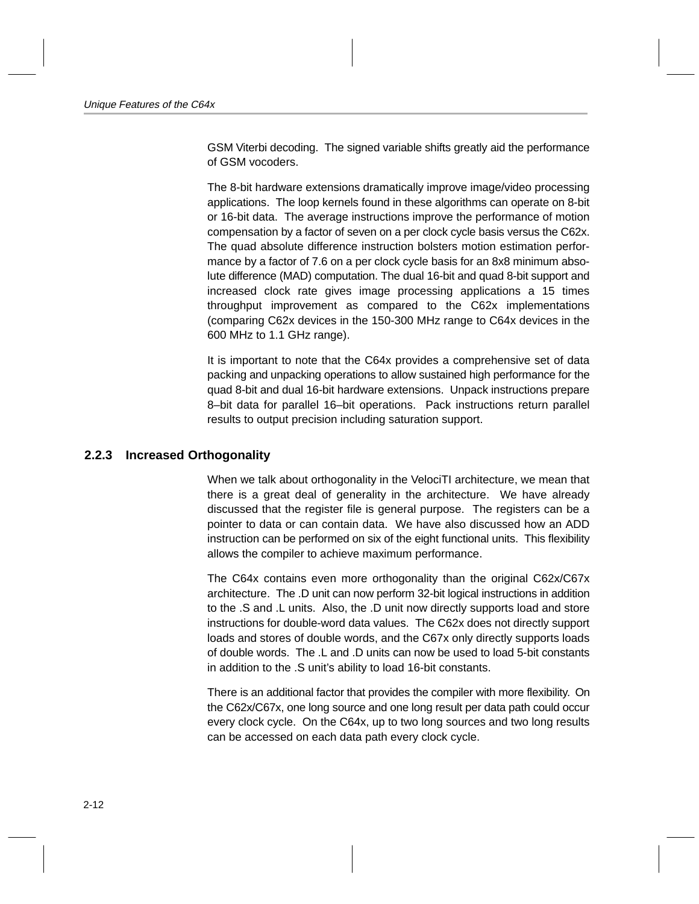<span id="page-27-0"></span>GSM Viterbi decoding. The signed variable shifts greatly aid the performance of GSM vocoders.

The 8-bit hardware extensions dramatically improve image/video processing applications. The loop kernels found in these algorithms can operate on 8-bit or 16-bit data. The average instructions improve the performance of motion compensation by a factor of seven on a per clock cycle basis versus the C62x. The quad absolute difference instruction bolsters motion estimation performance by a factor of 7.6 on a per clock cycle basis for an 8x8 minimum absolute difference (MAD) computation. The dual 16-bit and quad 8-bit support and increased clock rate gives image processing applications a 15 times throughput improvement as compared to the C62x implementations (comparing C62x devices in the 150-300 MHz range to C64x devices in the 600 MHz to 1.1 GHz range).

It is important to note that the C64x provides a comprehensive set of data packing and unpacking operations to allow sustained high performance for the quad 8-bit and dual 16-bit hardware extensions. Unpack instructions prepare 8–bit data for parallel 16–bit operations. Pack instructions return parallel results to output precision including saturation support.

### **2.2.3 Increased Orthogonality**

When we talk about orthogonality in the VelociTI architecture, we mean that there is a great deal of generality in the architecture. We have already discussed that the register file is general purpose. The registers can be a pointer to data or can contain data. We have also discussed how an ADD instruction can be performed on six of the eight functional units. This flexibility allows the compiler to achieve maximum performance.

The C64x contains even more orthogonality than the original C62x/C67x architecture. The .D unit can now perform 32-bit logical instructions in addition to the .S and .L units. Also, the .D unit now directly supports load and store instructions for double-word data values. The C62x does not directly support loads and stores of double words, and the C67x only directly supports loads of double words. The .L and .D units can now be used to load 5-bit constants in addition to the .S unit's ability to load 16-bit constants.

There is an additional factor that provides the compiler with more flexibility. On the C62x/C67x, one long source and one long result per data path could occur every clock cycle. On the C64x, up to two long sources and two long results can be accessed on each data path every clock cycle.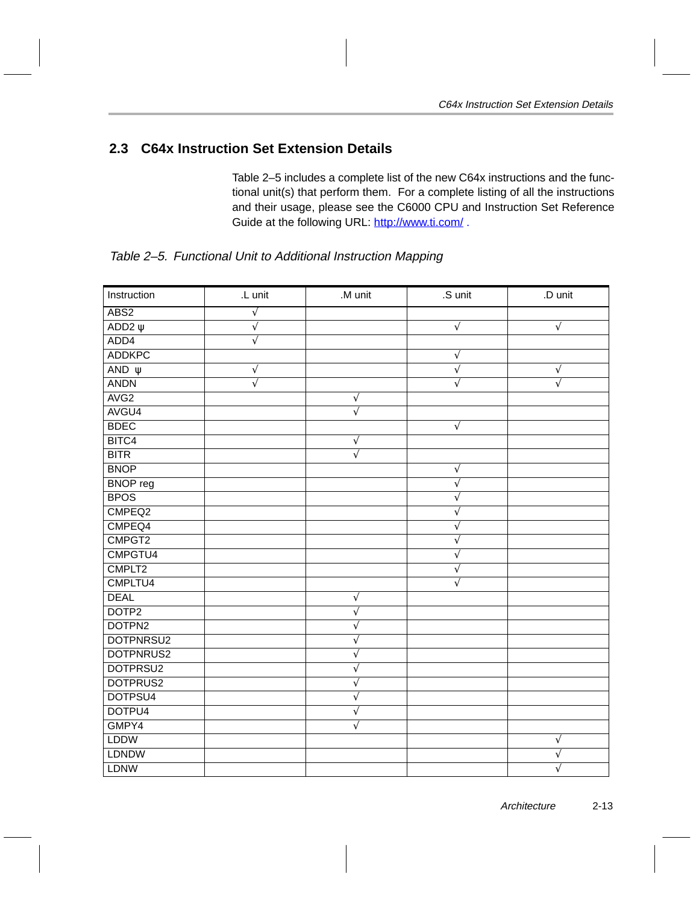### <span id="page-28-0"></span>**2.3 C64x Instruction Set Extension Details**

Table 2–5 includes a complete list of the new C64x instructions and the functional unit(s) that perform them. For a complete listing of all the instructions and their usage, please see the C6000 CPU and Instruction Set Reference Guide at the following URL: http://www.ti.com/.

| Instruction      | .L unit               | .M unit               | .S unit    | .D unit    |
|------------------|-----------------------|-----------------------|------------|------------|
| ABS2             | $\sqrt{}$             |                       |            |            |
| ADD2 $\Psi$      | $\sqrt{}$             |                       | $\sqrt{}$  | $\sqrt{ }$ |
| ADD4             | $\overline{\sqrt{ }}$ |                       |            |            |
| <b>ADDKPC</b>    |                       |                       | $\sqrt{ }$ |            |
| AND $\Psi$       | $\sqrt{}$             |                       | $\sqrt{}$  | $\sqrt{}$  |
| <b>ANDN</b>      | $\sqrt{}$             |                       | $\sqrt{}$  | $\sqrt{}$  |
| AVG <sub>2</sub> |                       | $\sqrt{}$             |            |            |
| AVGU4            |                       | $\overline{\sqrt{ }}$ |            |            |
| <b>BDEC</b>      |                       |                       | $\sqrt{}$  |            |
| BITC4            |                       | $\sqrt{}$             |            |            |
| <b>BITR</b>      |                       | $\sqrt{}$             |            |            |
| <b>BNOP</b>      |                       |                       | $\sqrt{ }$ |            |
| <b>BNOP</b> reg  |                       |                       | $\sqrt{}$  |            |
| <b>BPOS</b>      |                       |                       | $\sqrt{}$  |            |
| CMPEQ2           |                       |                       | $\sqrt{}$  |            |
| CMPEQ4           |                       |                       | $\sqrt{}$  |            |
| CMPGT2           |                       |                       | $\sqrt{}$  |            |
| CMPGTU4          |                       |                       | $\sqrt{}$  |            |
| CMPLT2           |                       |                       | $\sqrt{}$  |            |
| CMPLTU4          |                       |                       | $\sqrt{ }$ |            |
| <b>DEAL</b>      |                       | $\sqrt{}$             |            |            |
| DOTP2            |                       | $\sqrt{}$             |            |            |
| DOTPN2           |                       | $\sqrt{}$             |            |            |
| DOTPNRSU2        |                       | $\sqrt{}$             |            |            |
| DOTPNRUS2        |                       | $\sqrt{}$             |            |            |
| DOTPRSU2         |                       | $\sqrt{}$             |            |            |
| DOTPRUS2         |                       | $\sqrt{}$             |            |            |
| DOTPSU4          |                       | $\sqrt{}$             |            |            |
| DOTPU4           |                       | $\sqrt{}$             |            |            |
| GMPY4            |                       | $\sqrt{}$             |            |            |
| <b>LDDW</b>      |                       |                       |            | $\sqrt{ }$ |
| <b>LDNDW</b>     |                       |                       |            | $\sqrt{}$  |
| <b>LDNW</b>      |                       |                       |            | $\sqrt{}$  |

Table 2–5. Functional Unit to Additional Instruction Mapping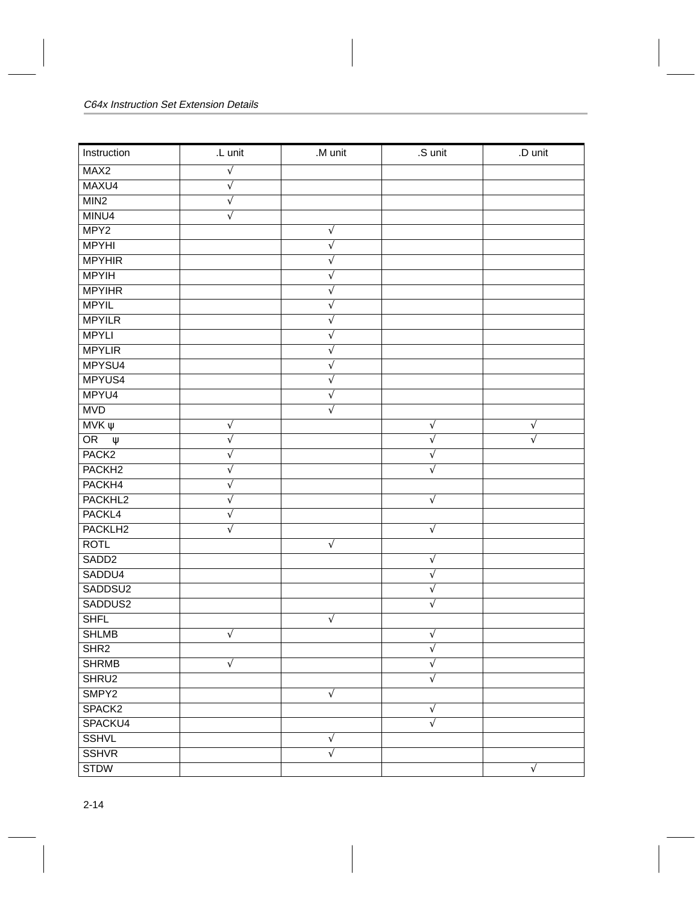| Instruction         | .L unit    | .M unit    | .S unit   | .D unit   |
|---------------------|------------|------------|-----------|-----------|
| MAX <sub>2</sub>    | $\sqrt{}$  |            |           |           |
| MAXU4               | $\sqrt{}$  |            |           |           |
| MIN2                | $\sqrt{}$  |            |           |           |
| MINU4               | $\sqrt{}$  |            |           |           |
| MPY <sub>2</sub>    |            | $\sqrt{}$  |           |           |
| <b>MPYHI</b>        |            | $\sqrt{}$  |           |           |
| <b>MPYHIR</b>       |            | $\sqrt{}$  |           |           |
| <b>MPYIH</b>        |            | $\sqrt{}$  |           |           |
| <b>MPYIHR</b>       |            | $\sqrt{}$  |           |           |
| <b>MPYIL</b>        |            | $\sqrt{}$  |           |           |
| <b>MPYILR</b>       |            | $\sqrt{}$  |           |           |
| <b>MPYLI</b>        |            | $\sqrt{}$  |           |           |
| <b>MPYLIR</b>       |            | $\sqrt{}$  |           |           |
| MPYSU4              |            | $\sqrt{}$  |           |           |
| MPYUS4              |            | $\sqrt{}$  |           |           |
| MPYU4               |            | $\sqrt{}$  |           |           |
| <b>MVD</b>          |            | $\sqrt{}$  |           |           |
| $MVK \psi$          | $\sqrt{}$  |            | $\sqrt{}$ | $\sqrt{}$ |
| OR<br>$\Psi$        | $\sqrt{}$  |            | $\sqrt{}$ | $\sqrt{}$ |
| PACK <sub>2</sub>   | $\sqrt{}$  |            | V         |           |
| PACKH <sub>2</sub>  | $\sqrt{}$  |            | $\sqrt{}$ |           |
| PACKH4              | $\sqrt{}$  |            |           |           |
| PACKHL2             | $\sqrt{ }$ |            | $\sqrt{}$ |           |
| PACKL4              | $\sqrt{}$  |            |           |           |
| PACKLH <sub>2</sub> | $\sqrt{}$  |            | $\sqrt{}$ |           |
| <b>ROTL</b>         |            | $\sqrt{ }$ |           |           |
| SADD <sub>2</sub>   |            |            | $\sqrt{}$ |           |
| SADDU4              |            |            | $\sqrt{}$ |           |
| SADDSU2             |            |            | $\sqrt{}$ |           |
| SADDUS2             |            |            | $\sqrt{}$ |           |
| <b>SHFL</b>         |            | $\sqrt{}$  |           |           |
| <b>SHLMB</b>        | $\sqrt{}$  |            | $\sqrt{}$ |           |
| SHR <sub>2</sub>    |            |            | $\sqrt{}$ |           |
| <b>SHRMB</b>        | $\sqrt{2}$ |            | $\sqrt{}$ |           |
| SHRU2               |            |            | $\sqrt{}$ |           |
| SMPY2               |            | $\sqrt{ }$ |           |           |
| SPACK <sub>2</sub>  |            |            | $\sqrt{}$ |           |
| SPACKU4             |            |            | $\sqrt{}$ |           |
| <b>SSHVL</b>        |            | $\sqrt{}$  |           |           |
| <b>SSHVR</b>        |            | $\sqrt{}$  |           |           |
| <b>STDW</b>         |            |            |           | V         |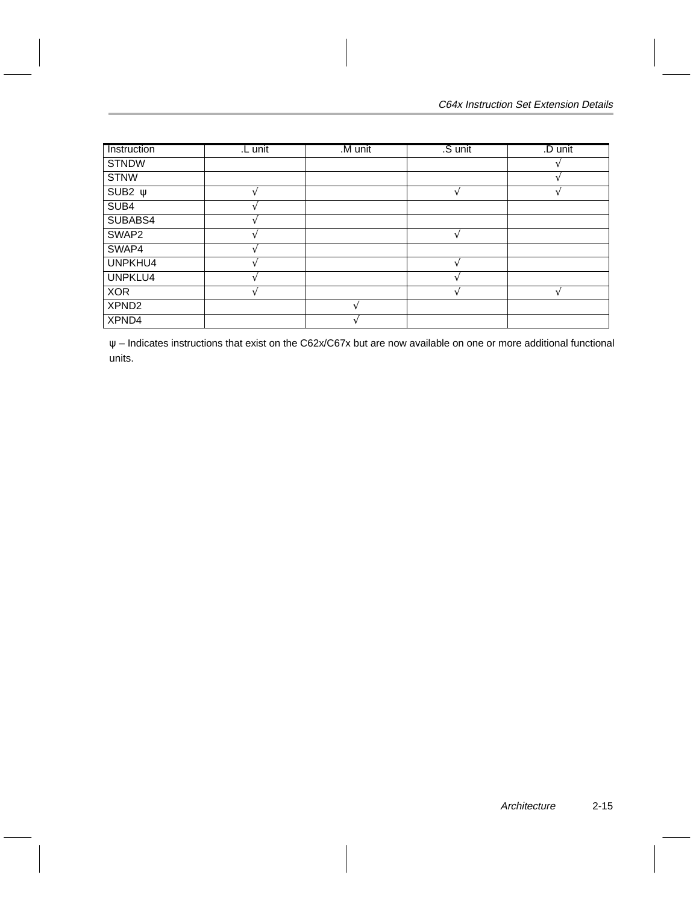| Instruction       | L unit | M unit | .S unit | .D unit |
|-------------------|--------|--------|---------|---------|
| <b>STNDW</b>      |        |        |         |         |
| <b>STNW</b>       |        |        |         |         |
| SUB2 $\psi$       |        |        |         |         |
| SUB4              |        |        |         |         |
| SUBABS4           |        |        |         |         |
| SWAP2             |        |        |         |         |
| SWAP4             |        |        |         |         |
| UNPKHU4           |        |        |         |         |
| UNPKLU4           |        |        |         |         |
| <b>XOR</b>        |        |        |         |         |
| XPND <sub>2</sub> |        |        |         |         |
| XPND4             |        |        |         |         |

ψ – Indicates instructions that exist on the C62x/C67x but are now available on one or more additional functional units.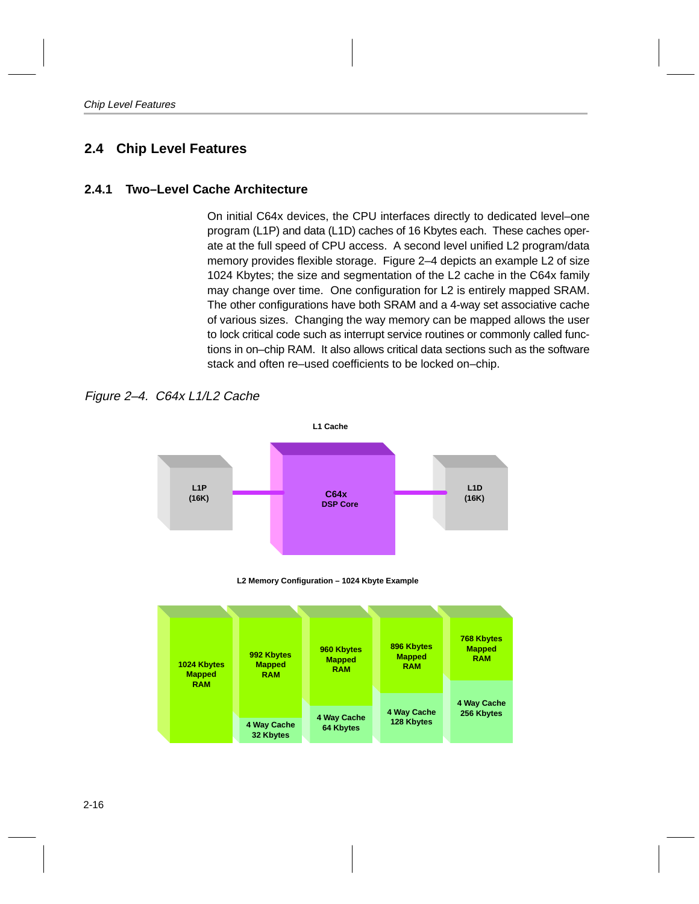### <span id="page-31-0"></span>**2.4 Chip Level Features**

### **2.4.1 Two–Level Cache Architecture**

On initial C64x devices, the CPU interfaces directly to dedicated level–one program (L1P) and data (L1D) caches of 16 Kbytes each. These caches operate at the full speed of CPU access. A second level unified L2 program/data memory provides flexible storage. Figure 2–4 depicts an example L2 of size 1024 Kbytes; the size and segmentation of the L2 cache in the C64x family may change over time. One configuration for L2 is entirely mapped SRAM. The other configurations have both SRAM and a 4-way set associative cache of various sizes. Changing the way memory can be mapped allows the user to lock critical code such as interrupt service routines or commonly called functions in on–chip RAM. It also allows critical data sections such as the software stack and often re–used coefficients to be locked on–chip.

Figure 2–4. C64x L1/L2 Cache





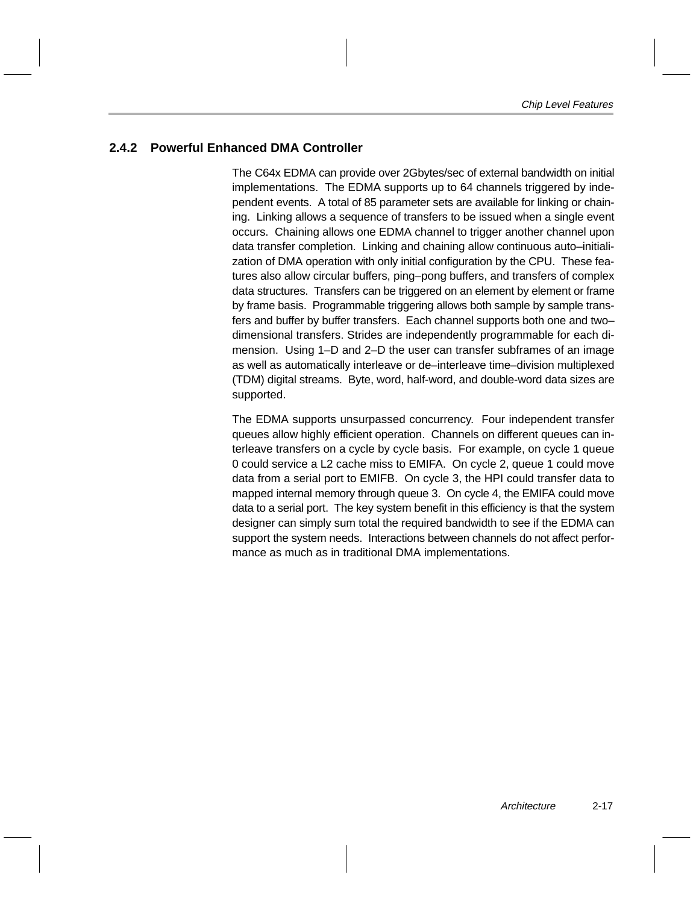### <span id="page-32-0"></span>**2.4.2 Powerful Enhanced DMA Controller**

The C64x EDMA can provide over 2Gbytes/sec of external bandwidth on initial implementations. The EDMA supports up to 64 channels triggered by independent events. A total of 85 parameter sets are available for linking or chaining. Linking allows a sequence of transfers to be issued when a single event occurs. Chaining allows one EDMA channel to trigger another channel upon data transfer completion. Linking and chaining allow continuous auto–initialization of DMA operation with only initial configuration by the CPU. These features also allow circular buffers, ping–pong buffers, and transfers of complex data structures. Transfers can be triggered on an element by element or frame by frame basis. Programmable triggering allows both sample by sample transfers and buffer by buffer transfers. Each channel supports both one and two– dimensional transfers. Strides are independently programmable for each dimension. Using 1–D and 2–D the user can transfer subframes of an image as well as automatically interleave or de–interleave time–division multiplexed (TDM) digital streams. Byte, word, half-word, and double-word data sizes are supported.

The EDMA supports unsurpassed concurrency. Four independent transfer queues allow highly efficient operation. Channels on different queues can interleave transfers on a cycle by cycle basis. For example, on cycle 1 queue 0 could service a L2 cache miss to EMIFA. On cycle 2, queue 1 could move data from a serial port to EMIFB. On cycle 3, the HPI could transfer data to mapped internal memory through queue 3. On cycle 4, the EMIFA could move data to a serial port. The key system benefit in this efficiency is that the system designer can simply sum total the required bandwidth to see if the EDMA can support the system needs. Interactions between channels do not affect performance as much as in traditional DMA implementations.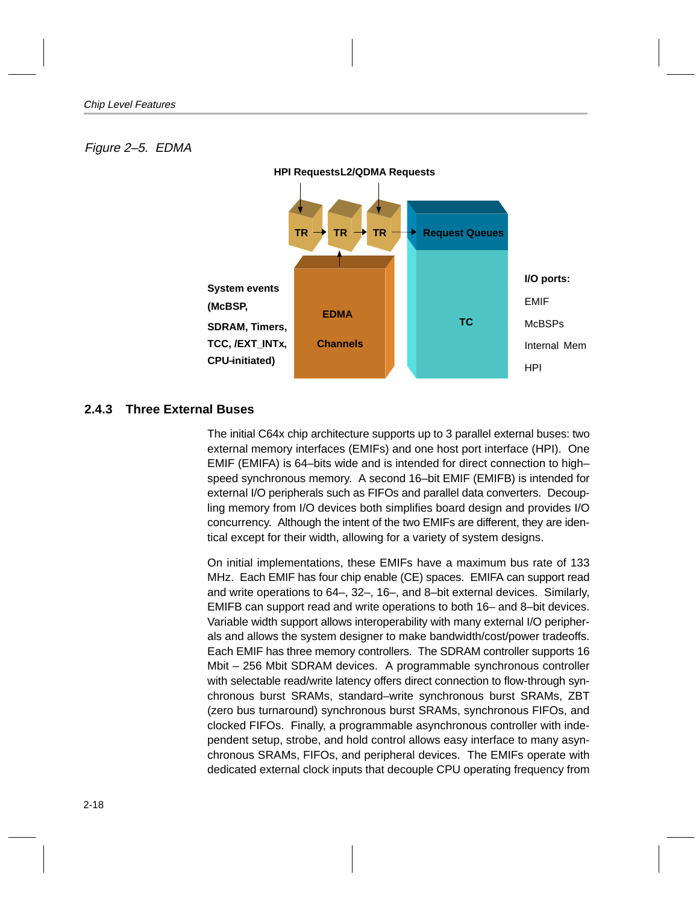### <span id="page-33-0"></span>Figure 2–5. EDMA



#### **2.4.3 Three External Buses**

The initial C64x chip architecture supports up to 3 parallel external buses: two external memory interfaces (EMIFs) and one host port interface (HPI). One EMIF (EMIFA) is 64–bits wide and is intended for direct connection to high– speed synchronous memory. A second 16–bit EMIF (EMIFB) is intended for external I/O peripherals such as FIFOs and parallel data converters. Decoupling memory from I/O devices both simplifies board design and provides I/O concurrency. Although the intent of the two EMIFs are different, they are identical except for their width, allowing for a variety of system designs.

On initial implementations, these EMIFs have a maximum bus rate of 133 MHz. Each EMIF has four chip enable (CE) spaces. EMIFA can support read and write operations to 64–, 32–, 16–, and 8–bit external devices. Similarly, EMIFB can support read and write operations to both 16– and 8–bit devices. Variable width support allows interoperability with many external I/O peripherals and allows the system designer to make bandwidth/cost/power tradeoffs. Each EMIF has three memory controllers. The SDRAM controller supports 16 Mbit – 256 Mbit SDRAM devices. A programmable synchronous controller with selectable read/write latency offers direct connection to flow-through synchronous burst SRAMs, standard–write synchronous burst SRAMs, ZBT (zero bus turnaround) synchronous burst SRAMs, synchronous FIFOs, and clocked FIFOs. Finally, a programmable asynchronous controller with independent setup, strobe, and hold control allows easy interface to many asynchronous SRAMs, FIFOs, and peripheral devices. The EMIFs operate with dedicated external clock inputs that decouple CPU operating frequency from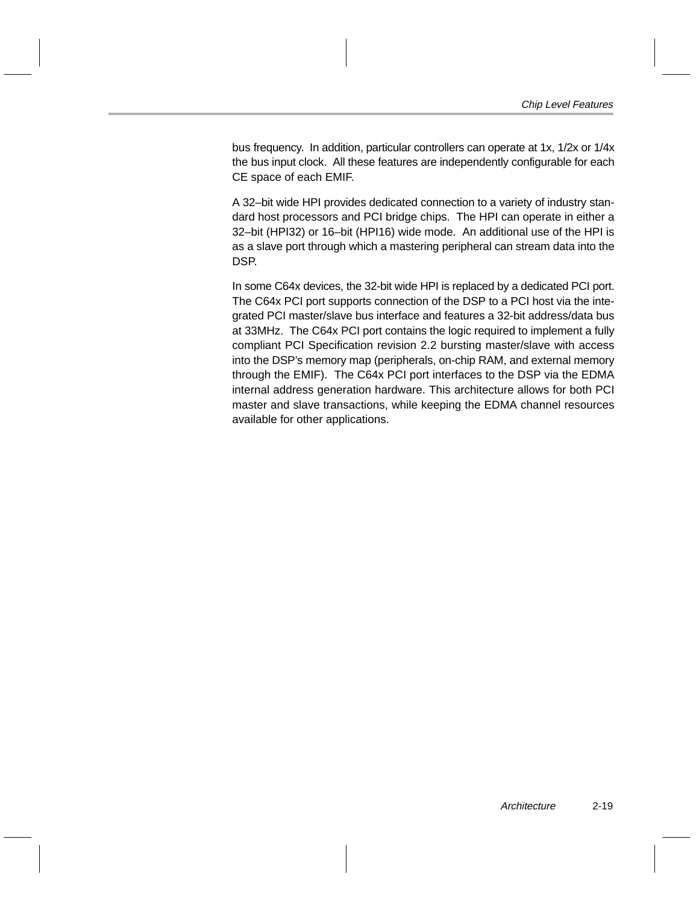bus frequency. In addition, particular controllers can operate at 1x, 1/2x or 1/4x the bus input clock. All these features are independently configurable for each CE space of each EMIF.

A 32–bit wide HPI provides dedicated connection to a variety of industry standard host processors and PCI bridge chips. The HPI can operate in either a 32–bit (HPI32) or 16–bit (HPI16) wide mode. An additional use of the HPI is as a slave port through which a mastering peripheral can stream data into the DSP.

In some C64x devices, the 32-bit wide HPI is replaced by a dedicated PCI port. The C64x PCI port supports connection of the DSP to a PCI host via the integrated PCI master/slave bus interface and features a 32-bit address/data bus at 33MHz. The C64x PCI port contains the logic required to implement a fully compliant PCI Specification revision 2.2 bursting master/slave with access into the DSP's memory map (peripherals, on-chip RAM, and external memory through the EMIF). The C64x PCI port interfaces to the DSP via the EDMA internal address generation hardware. This architecture allows for both PCI master and slave transactions, while keeping the EDMA channel resources available for other applications.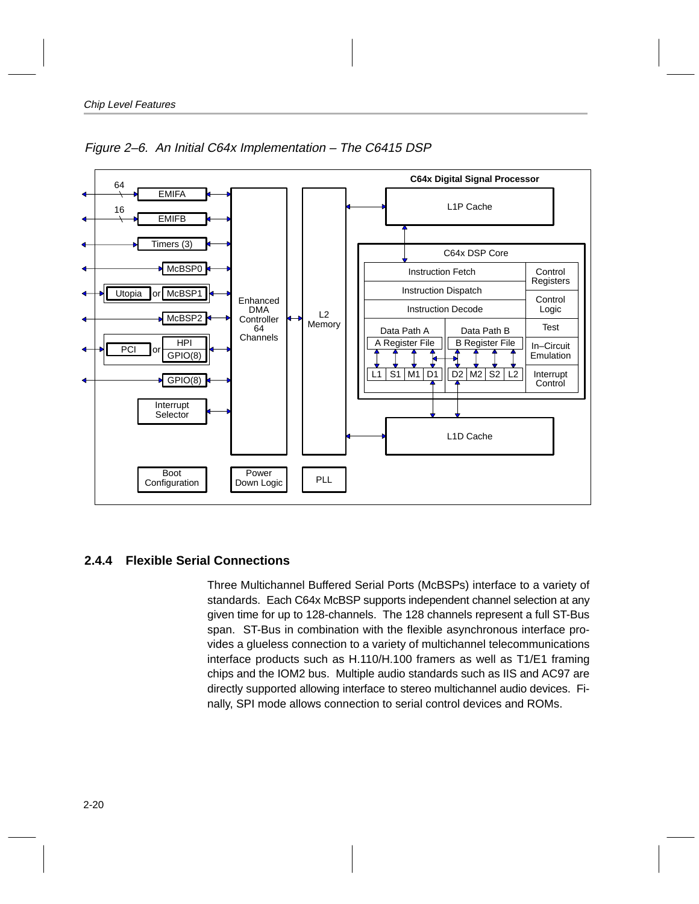<span id="page-35-0"></span>

Figure 2–6. An Initial C64x Implementation – The C6415 DSP

### **2.4.4 Flexible Serial Connections**

Three Multichannel Buffered Serial Ports (McBSPs) interface to a variety of standards. Each C64x McBSP supports independent channel selection at any given time for up to 128-channels. The 128 channels represent a full ST-Bus span. ST-Bus in combination with the flexible asynchronous interface provides a glueless connection to a variety of multichannel telecommunications interface products such as H.110/H.100 framers as well as T1/E1 framing chips and the IOM2 bus. Multiple audio standards such as IIS and AC97 are directly supported allowing interface to stereo multichannel audio devices. Finally, SPI mode allows connection to serial control devices and ROMs.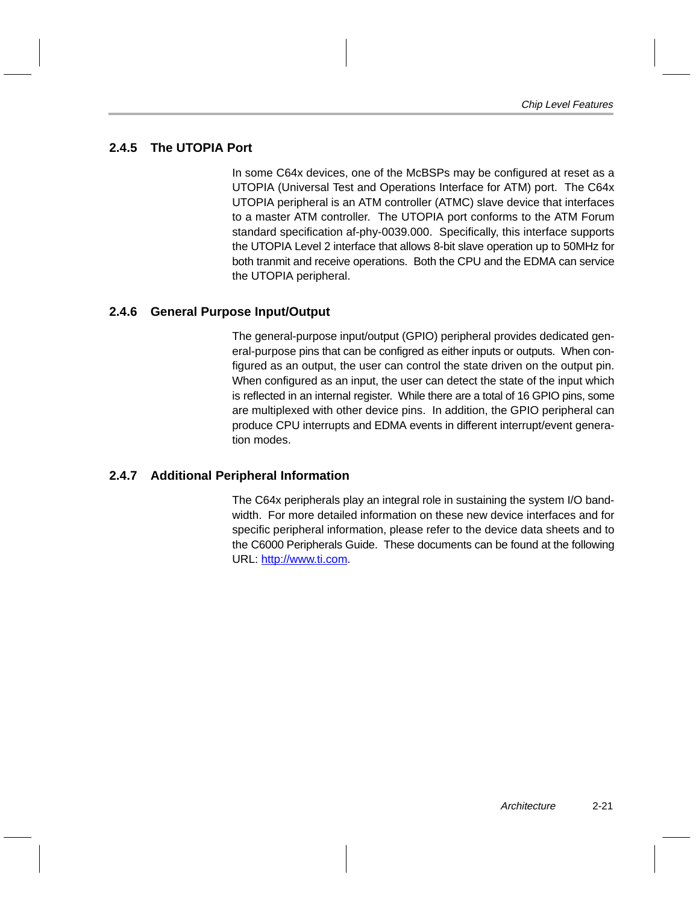### <span id="page-36-0"></span>**2.4.5 The UTOPIA Port**

In some C64x devices, one of the McBSPs may be configured at reset as a UTOPIA (Universal Test and Operations Interface for ATM) port. The C64x UTOPIA peripheral is an ATM controller (ATMC) slave device that interfaces to a master ATM controller. The UTOPIA port conforms to the ATM Forum standard specification af-phy-0039.000. Specifically, this interface supports the UTOPIA Level 2 interface that allows 8-bit slave operation up to 50MHz for both tranmit and receive operations. Both the CPU and the EDMA can service the UTOPIA peripheral.

#### **2.4.6 General Purpose Input/Output**

The general-purpose input/output (GPIO) peripheral provides dedicated general-purpose pins that can be configred as either inputs or outputs. When configured as an output, the user can control the state driven on the output pin. When configured as an input, the user can detect the state of the input which is reflected in an internal register. While there are a total of 16 GPIO pins, some are multiplexed with other device pins. In addition, the GPIO peripheral can produce CPU interrupts and EDMA events in different interrupt/event generation modes.

#### **2.4.7 Additional Peripheral Information**

The C64x peripherals play an integral role in sustaining the system I/O bandwidth. For more detailed information on these new device interfaces and for specific peripheral information, please refer to the device data sheets and to the C6000 Peripherals Guide. These documents can be found at the following URL: http://www.ti.com.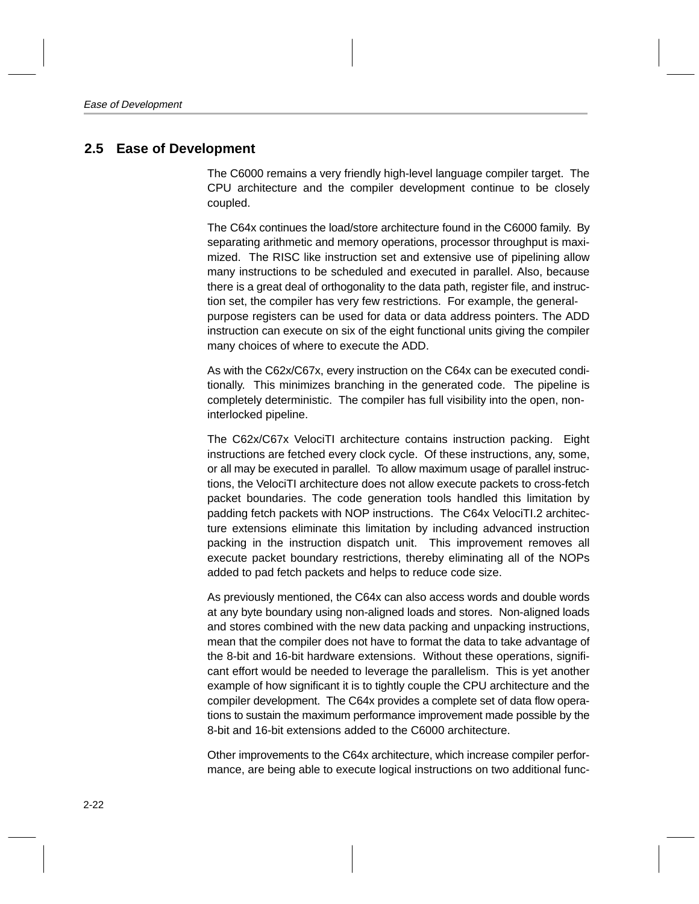### <span id="page-37-0"></span>**2.5 Ease of Development**

The C6000 remains a very friendly high-level language compiler target. The CPU architecture and the compiler development continue to be closely coupled.

The C64x continues the load/store architecture found in the C6000 family. By separating arithmetic and memory operations, processor throughput is maximized. The RISC like instruction set and extensive use of pipelining allow many instructions to be scheduled and executed in parallel. Also, because there is a great deal of orthogonality to the data path, register file, and instruction set, the compiler has very few restrictions. For example, the generalpurpose registers can be used for data or data address pointers. The ADD instruction can execute on six of the eight functional units giving the compiler many choices of where to execute the ADD.

As with the C62x/C67x, every instruction on the C64x can be executed conditionally. This minimizes branching in the generated code. The pipeline is completely deterministic. The compiler has full visibility into the open, noninterlocked pipeline.

The C62x/C67x VelociTI architecture contains instruction packing. Eight instructions are fetched every clock cycle. Of these instructions, any, some, or all may be executed in parallel. To allow maximum usage of parallel instructions, the VelociTI architecture does not allow execute packets to cross-fetch packet boundaries. The code generation tools handled this limitation by padding fetch packets with NOP instructions. The C64x VelociTI.2 architecture extensions eliminate this limitation by including advanced instruction packing in the instruction dispatch unit. This improvement removes all execute packet boundary restrictions, thereby eliminating all of the NOPs added to pad fetch packets and helps to reduce code size.

As previously mentioned, the C64x can also access words and double words at any byte boundary using non-aligned loads and stores. Non-aligned loads and stores combined with the new data packing and unpacking instructions, mean that the compiler does not have to format the data to take advantage of the 8-bit and 16-bit hardware extensions. Without these operations, significant effort would be needed to leverage the parallelism. This is yet another example of how significant it is to tightly couple the CPU architecture and the compiler development. The C64x provides a complete set of data flow operations to sustain the maximum performance improvement made possible by the 8-bit and 16-bit extensions added to the C6000 architecture.

Other improvements to the C64x architecture, which increase compiler performance, are being able to execute logical instructions on two additional func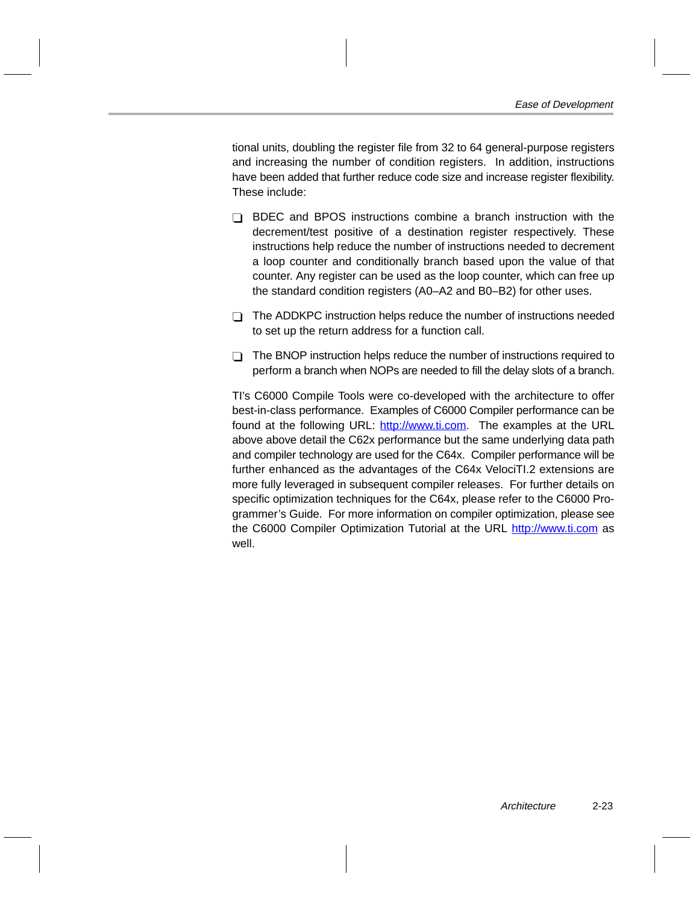tional units, doubling the register file from 32 to 64 general-purpose registers and increasing the number of condition registers. In addition, instructions have been added that further reduce code size and increase register flexibility. These include:

- $\Box$  BDEC and BPOS instructions combine a branch instruction with the decrement/test positive of a destination register respectively. These instructions help reduce the number of instructions needed to decrement a loop counter and conditionally branch based upon the value of that counter. Any register can be used as the loop counter, which can free up the standard condition registers (A0–A2 and B0–B2) for other uses.
- $\Box$  The ADDKPC instruction helps reduce the number of instructions needed to set up the return address for a function call.
- $\Box$  The BNOP instruction helps reduce the number of instructions required to perform a branch when NOPs are needed to fill the delay slots of a branch.

TI's C6000 Compile Tools were co-developed with the architecture to offer best-in-class performance. Examples of C6000 Compiler performance can be found at the following URL: http://www.ti.com. The examples at the URL above above detail the C62x performance but the same underlying data path and compiler technology are used for the C64x. Compiler performance will be further enhanced as the advantages of the C64x VelociTI.2 extensions are more fully leveraged in subsequent compiler releases. For further details on specific optimization techniques for the C64x, please refer to the C6000 Programmer's Guide. For more information on compiler optimization, please see the C6000 Compiler Optimization Tutorial at the URL http://www.ti.com as well.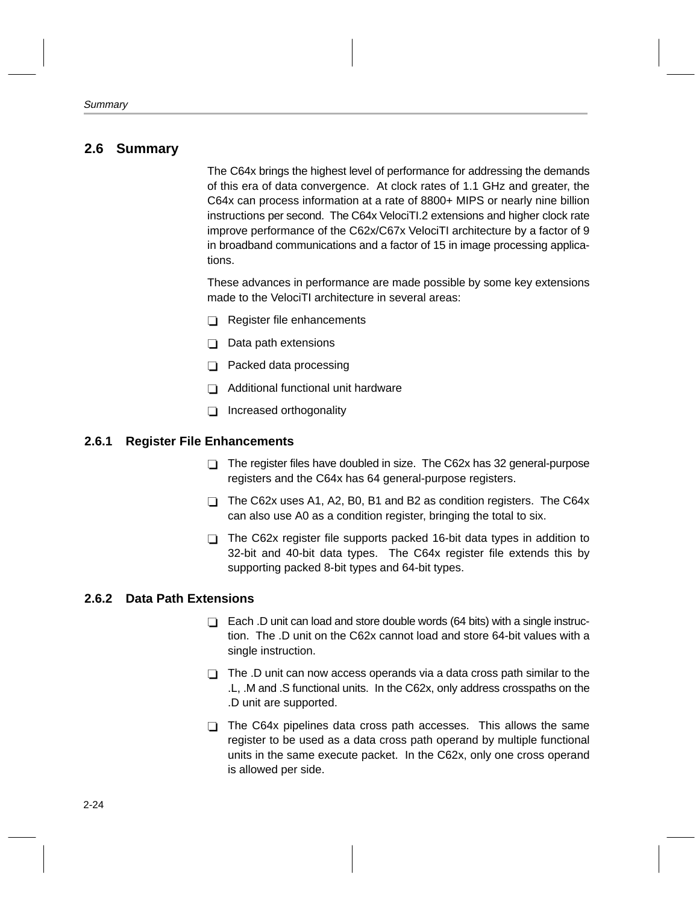### <span id="page-39-0"></span>**2.6 Summary**

The C64x brings the highest level of performance for addressing the demands of this era of data convergence. At clock rates of 1.1 GHz and greater, the C64x can process information at a rate of 8800+ MIPS or nearly nine billion instructions per second. The C64x VelociTI.2 extensions and higher clock rate improve performance of the C62x/C67x VelociTI architecture by a factor of 9 in broadband communications and a factor of 15 in image processing applications.

These advances in performance are made possible by some key extensions made to the VelociTI architecture in several areas:

- Register file enhancements
- $\Box$  Data path extensions
- $\Box$  Packed data processing
- $\Box$  Additional functional unit hardware
- □ Increased orthogonality

#### **2.6.1 Register File Enhancements**

- $\Box$  The register files have doubled in size. The C62x has 32 general-purpose registers and the C64x has 64 general-purpose registers.
- $\Box$  The C62x uses A1, A2, B0, B1 and B2 as condition registers. The C64x can also use A0 as a condition register, bringing the total to six.
- $\Box$  The C62x register file supports packed 16-bit data types in addition to 32-bit and 40-bit data types. The C64x register file extends this by supporting packed 8-bit types and 64-bit types.

#### **2.6.2 Data Path Extensions**

- $\Box$  Each .D unit can load and store double words (64 bits) with a single instruction. The .D unit on the C62x cannot load and store 64-bit values with a single instruction.
- $\Box$  The .D unit can now access operands via a data cross path similar to the .L, .M and .S functional units. In the C62x, only address crosspaths on the .D unit are supported.
- $\Box$  The C64x pipelines data cross path accesses. This allows the same register to be used as a data cross path operand by multiple functional units in the same execute packet. In the C62x, only one cross operand is allowed per side.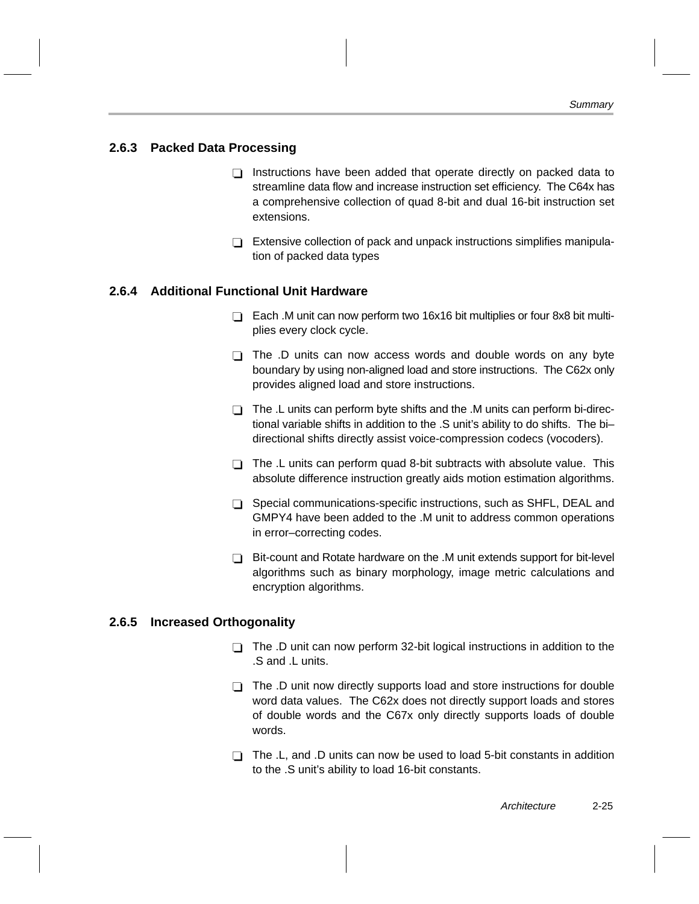#### <span id="page-40-0"></span>**2.6.3 Packed Data Processing**

- $\Box$  Instructions have been added that operate directly on packed data to streamline data flow and increase instruction set efficiency. The C64x has a comprehensive collection of quad 8-bit and dual 16-bit instruction set extensions.
- $\Box$  Extensive collection of pack and unpack instructions simplifies manipulation of packed data types

#### **2.6.4 Additional Functional Unit Hardware**

- $\Box$  Each .M unit can now perform two 16x16 bit multiplies or four 8x8 bit multiplies every clock cycle.
- $\Box$  The .D units can now access words and double words on any byte boundary by using non-aligned load and store instructions. The C62x only provides aligned load and store instructions.
- $\Box$  The .L units can perform byte shifts and the .M units can perform bi-directional variable shifts in addition to the .S unit's ability to do shifts. The bi– directional shifts directly assist voice-compression codecs (vocoders).
- $\Box$  The .L units can perform quad 8-bit subtracts with absolute value. This absolute difference instruction greatly aids motion estimation algorithms.
- $\Box$  Special communications-specific instructions, such as SHFL, DEAL and GMPY4 have been added to the .M unit to address common operations in error–correcting codes.
- $\Box$  Bit-count and Rotate hardware on the .M unit extends support for bit-level algorithms such as binary morphology, image metric calculations and encryption algorithms.

#### **2.6.5 Increased Orthogonality**

- The .D unit can now perform 32-bit logical instructions in addition to the .S and .L units.
- $\Box$  The .D unit now directly supports load and store instructions for double word data values. The C62x does not directly support loads and stores of double words and the C67x only directly supports loads of double words.
- $\Box$  The .L, and .D units can now be used to load 5-bit constants in addition to the .S unit's ability to load 16-bit constants.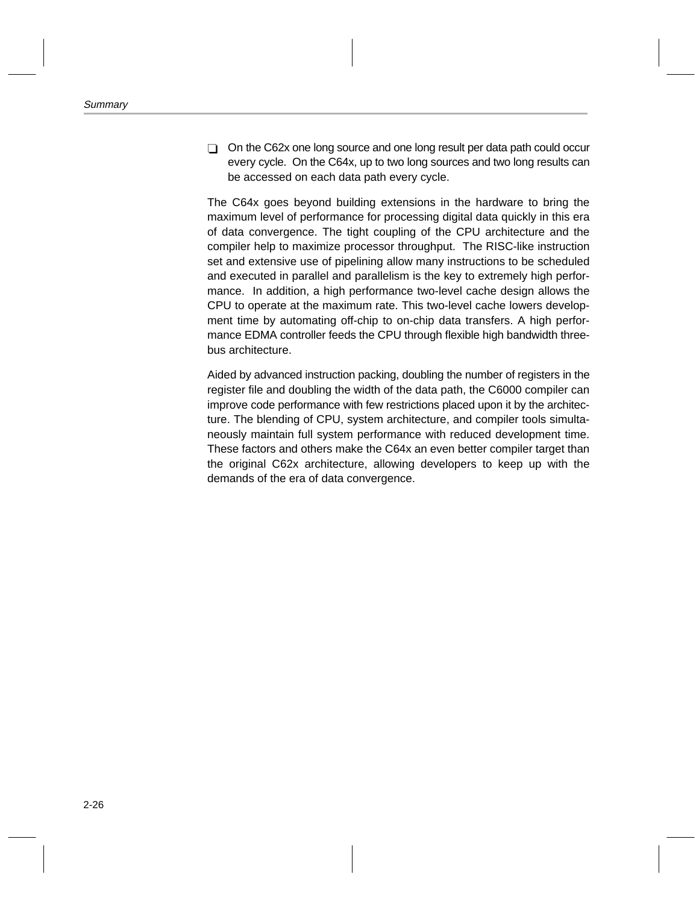$\Box$  On the C62x one long source and one long result per data path could occur every cycle. On the C64x, up to two long sources and two long results can be accessed on each data path every cycle.

The C64x goes beyond building extensions in the hardware to bring the maximum level of performance for processing digital data quickly in this era of data convergence. The tight coupling of the CPU architecture and the compiler help to maximize processor throughput. The RISC-like instruction set and extensive use of pipelining allow many instructions to be scheduled and executed in parallel and parallelism is the key to extremely high performance. In addition, a high performance two-level cache design allows the CPU to operate at the maximum rate. This two-level cache lowers development time by automating off-chip to on-chip data transfers. A high performance EDMA controller feeds the CPU through flexible high bandwidth threebus architecture.

Aided by advanced instruction packing, doubling the number of registers in the register file and doubling the width of the data path, the C6000 compiler can improve code performance with few restrictions placed upon it by the architecture. The blending of CPU, system architecture, and compiler tools simultaneously maintain full system performance with reduced development time. These factors and others make the C64x an even better compiler target than the original C62x architecture, allowing developers to keep up with the demands of the era of data convergence.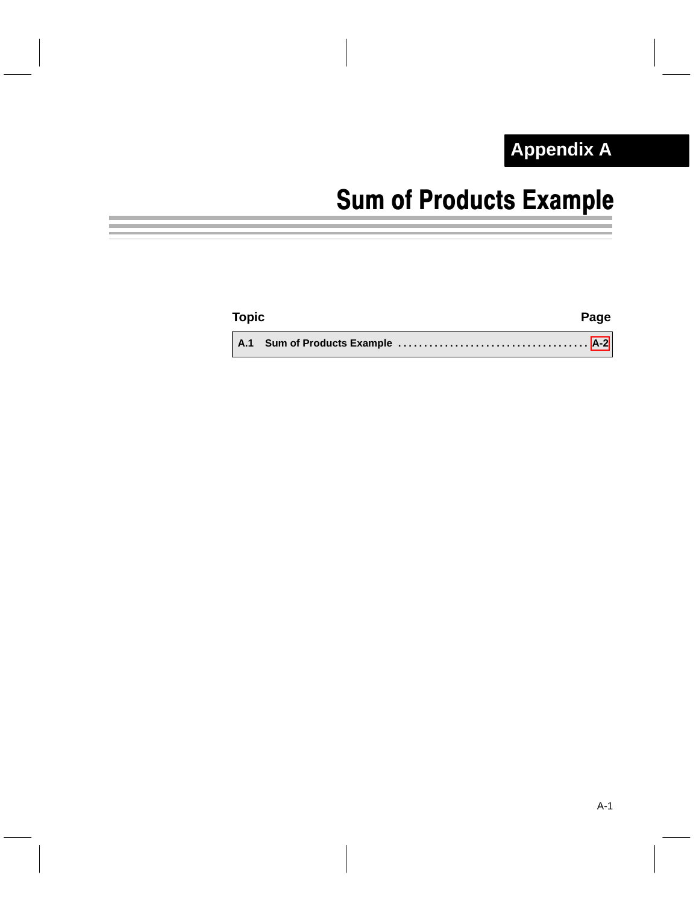### **Appendix A Appendix A**

# Sum of Products Example

<span id="page-42-0"></span>

| <b>Topic</b> | Page |
|--------------|------|
|              |      |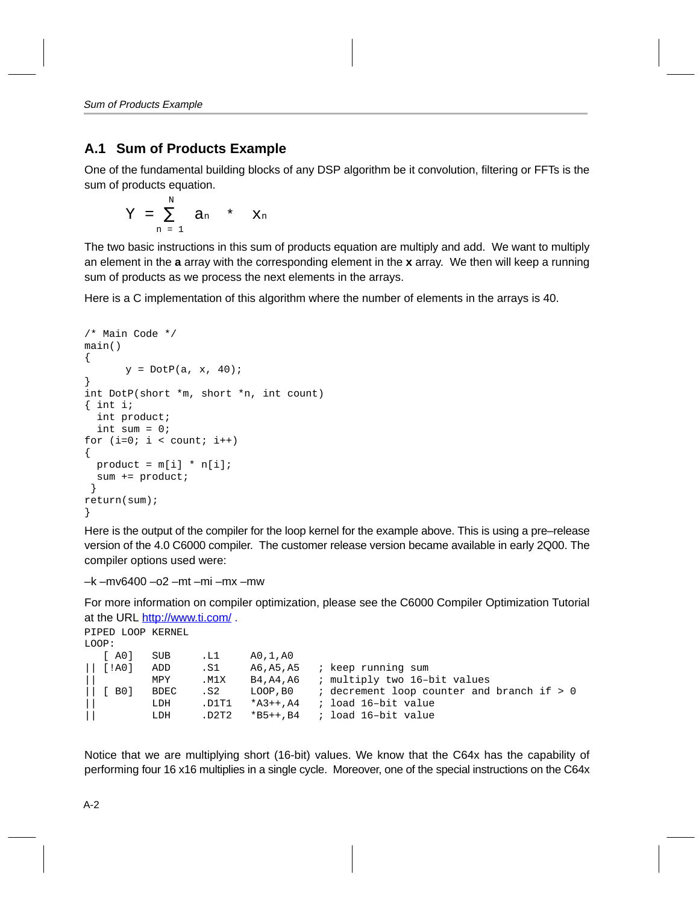### <span id="page-43-0"></span>**A.1 Sum of Products Example**

One of the fundamental building blocks of any DSP algorithm be it convolution, filtering or FFTs is the sum of products equation.

$$
Y = \sum_{n=1}^{N} a_n * x_n
$$

The two basic instructions in this sum of products equation are multiply and add. We want to multiply an element in the **a** array with the corresponding element in the **x** array. We then will keep a running sum of products as we process the next elements in the arrays.

Here is a C implementation of this algorithm where the number of elements in the arrays is 40.

```
/* Main Code */
main()
{
      y = DotP(a, x, 40);}
int DotP(short *m, short *n, int count)
{ int i;
   int product;
   int sum = 0;
for (i=0; i < count; i++){
 product = m[i] * n[i]; sum += product;
  }
return(sum);
}
```
Here is the output of the compiler for the loop kernel for the example above. This is using a pre–release version of the 4.0 C6000 compiler. The customer release version became available in early 2Q00. The compiler options used were:

```
–k –mv6400 –o2 –mt –mi –mx –mw
```
For more information on compiler optimization, please see the C6000 Compiler Optimization Tutorial at the URL http://www.ti.com/ .

```
PIPED LOOP KERNEL
LOOP:
 [ A0] SUB .L1 A0,1,A0
|| [!A0] ADD .S1 A6,A5,A5 ; keep running sum
       MPY .M1X B4,A4,A6 ; multiply two 16-bit values
|| [ B0] BDEC .S2 LOOP,B0 ; decrement loop counter and branch if > 0
        LDH .D1T1 *A3++,A4 ; load 16-bit value
|| LDH .D2T2 *B5++,B4 ; load 16–bit value
```
Notice that we are multiplying short (16-bit) values. We know that the C64x has the capability of performing four 16 x16 multiplies in a single cycle. Moreover, one of the special instructions on the C64x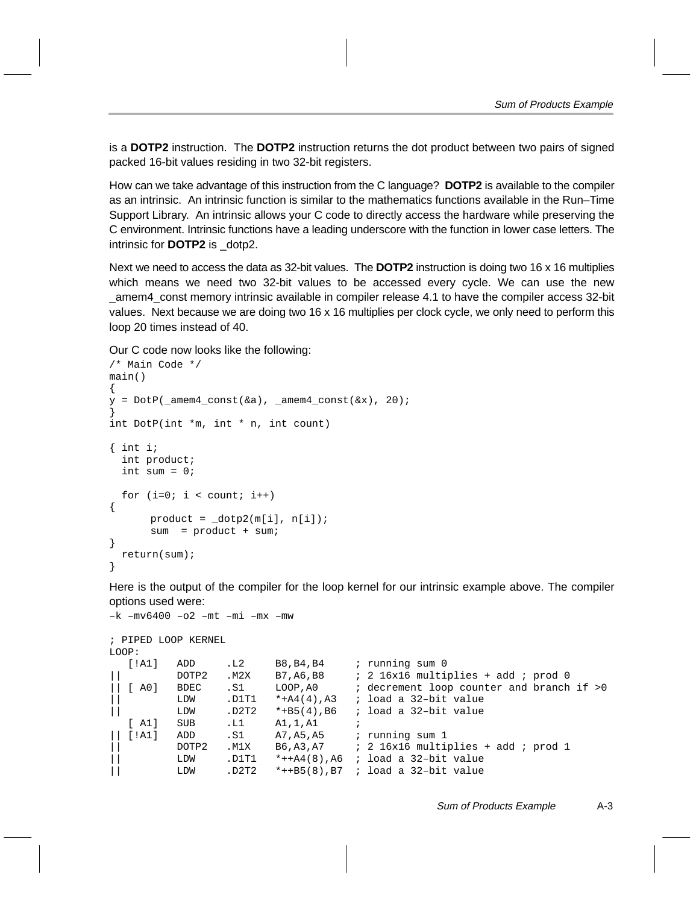is a **DOTP2** instruction. The **DOTP2** instruction returns the dot product between two pairs of signed packed 16-bit values residing in two 32-bit registers.

How can we take advantage of this instruction from the C language? **DOTP2** is available to the compiler as an intrinsic. An intrinsic function is similar to the mathematics functions available in the Run–Time Support Library. An intrinsic allows your C code to directly access the hardware while preserving the C environment. Intrinsic functions have a leading underscore with the function in lower case letters. The intrinsic for **DOTP2** is \_dotp2.

Next we need to access the data as 32-bit values. The **DOTP2** instruction is doing two 16 x 16 multiplies which means we need two 32-bit values to be accessed every cycle. We can use the new \_amem4\_const memory intrinsic available in compiler release 4.1 to have the compiler access 32-bit values. Next because we are doing two 16 x 16 multiplies per clock cycle, we only need to perform this loop 20 times instead of 40.

Our C code now looks like the following:

```
/* Main Code */
main()
{
y = DotP(\text{__amem4__const(\&a), \text{__amem4__const(\&x), 20)};
}
int DotP(int *m, int * n, int count)
{ int i;
   int product;
   int sum = 0;
  for (i=0; i < count; i++){
       product = dot(2(m[i], n[i]); sum = product + sum;
}
   return(sum);
}
```
Here is the output of the compiler for the loop kernel for our intrinsic example above. The compiler options used were:

```
–k –mv6400 –o2 –mt –mi –mx –mw
; PIPED LOOP KERNEL
LOOP:
  [!A1] ADD .L2 B8, B4, B4 ; running sum 0
|| DOTP2 .M2X B7,A6,B8 ; 2 16x16 multiplies + add ; prod 0
|| [ A0] BDEC .S1 LOOP,A0 ; decrement loop counter and branch if >0
|| LDW .D1T1 *+A4(4),A3 ; load a 32–bit value
|| LDW .D2T2 *+B5(4),B6 ; load a 32–bit value
  [ A1] SUB .L1 A1,1,A1 ;
|| [!A1] ADD .S1 A7,A5,A5 ; running sum 1
|| DOTP2 .M1X B6,A3,A7 ; 2 16x16 multiplies + add ; prod 1
        || LDW .D1T1 *++A4(8),A6 ; load a 32–bit value
|| LDW .D2T2 *++B5(8),B7 ; load a 32–bit value
```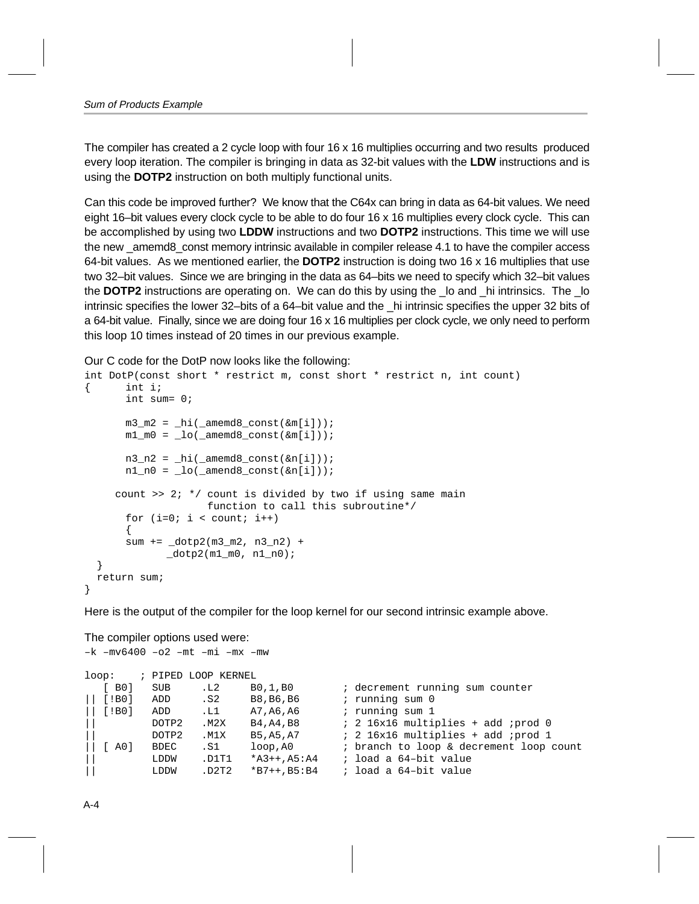The compiler has created a 2 cycle loop with four 16 x 16 multiplies occurring and two results produced every loop iteration. The compiler is bringing in data as 32-bit values with the **LDW** instructions and is using the **DOTP2** instruction on both multiply functional units.

Can this code be improved further? We know that the C64x can bring in data as 64-bit values. We need eight 16–bit values every clock cycle to be able to do four 16 x 16 multiplies every clock cycle. This can be accomplished by using two **LDDW** instructions and two **DOTP2** instructions. This time we will use the new amemd8 const memory intrinsic available in compiler release 4.1 to have the compiler access 64-bit values. As we mentioned earlier, the **DOTP2** instruction is doing two 16 x 16 multiplies that use two 32–bit values. Since we are bringing in the data as 64–bits we need to specify which 32–bit values the **DOTP2** instructions are operating on. We can do this by using the \_lo and \_hi intrinsics. The \_lo intrinsic specifies the lower 32–bits of a 64–bit value and the \_hi intrinsic specifies the upper 32 bits of a 64-bit value. Finally, since we are doing four 16 x 16 multiplies per clock cycle, we only need to perform this loop 10 times instead of 20 times in our previous example.

Our C code for the DotP now looks like the following:

```
int DotP(const short * restrict m, const short * restrict n, int count)
{ int i;
         int sum= 0;
       m3_m2 = \text{hi}(\text{amend8}_\text{const}(\text{km}[i]));
       m1_m0 = \text{lo}(\text{amemd8} \text{const}(\& m[i]));
       n3_n2 = \text{hi}(\text{amend8}.\text{const}(\text{sn}[i]));
       n1_n0 = \text{lo}(\text{amend8}\text{const}(\text{sn}[i]));
      count >> 2; */ count is divided by two if using same main
                         function to call this subroutine*/
        for (i=0; i < count; i++)\{ sum += _dotp2(m3_m2, n3_n2) +
                dotp2(m1_m0, n1_n0); }
   return sum;
}
```
Here is the output of the compiler for the loop kernel for our second intrinsic example above.

The compiler options used were:

```
–k –mv6400 –o2 –mt –mi –mx –mw
loop: ; PIPED LOOP KERNEL
  [ B0] SUB .L2 B0,1,B0 ; decrement running sum counter
|| [!B0] ADD .S2 B8,B6,B6 ; running sum 0
|| [!B0] ADD .L1 A7,A6,A6 ; running sum 1
                                  : 2 16x16 multiplies + add ;prod 0
       || DOTP2 .M1X B5,A5,A7 ; 2 16x16 multiplies + add ;prod 1
|| [ A0] BDEC .S1 loop,A0 ; branch to loop & decrement loop count
        LDDW .D1T1 *A3++,A5:A4 ; load a 64-bit value
|| LDDW .D2T2 *B7++,B5:B4 ; load a 64–bit value
```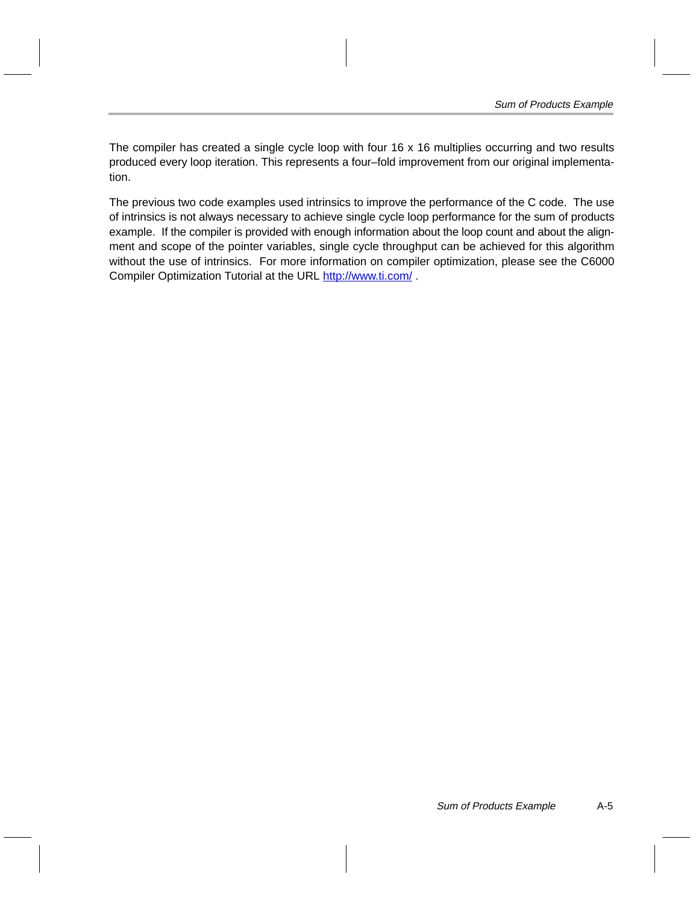The compiler has created a single cycle loop with four 16 x 16 multiplies occurring and two results produced every loop iteration. This represents a four–fold improvement from our original implementation.

The previous two code examples used intrinsics to improve the performance of the C code. The use of intrinsics is not always necessary to achieve single cycle loop performance for the sum of products example. If the compiler is provided with enough information about the loop count and about the alignment and scope of the pointer variables, single cycle throughput can be achieved for this algorithm without the use of intrinsics. For more information on compiler optimization, please see the C6000 Compiler Optimization Tutorial at the URL http://www.ti.com/.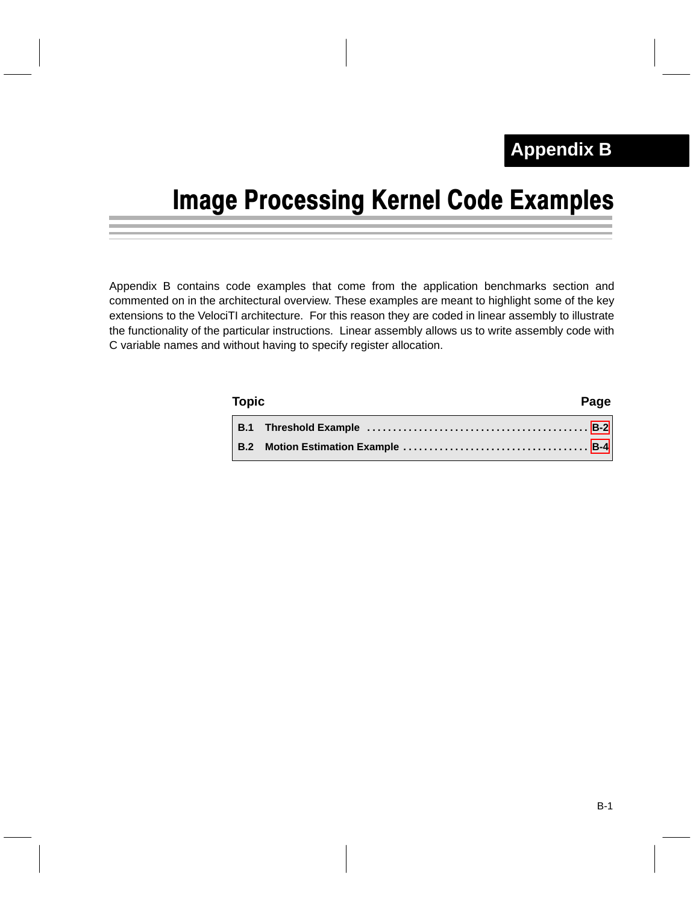## <span id="page-47-0"></span>Image Processing Kernel Code Examples

Appendix B contains code examples that come from the application benchmarks section and commented on in the architectural overview. These examples are meant to highlight some of the key extensions to the VelociTI architecture. For this reason they are coded in linear assembly to illustrate the functionality of the particular instructions. Linear assembly allows us to write assembly code with C variable names and without having to specify register allocation.

| Topic | Page |
|-------|------|
|       |      |
|       |      |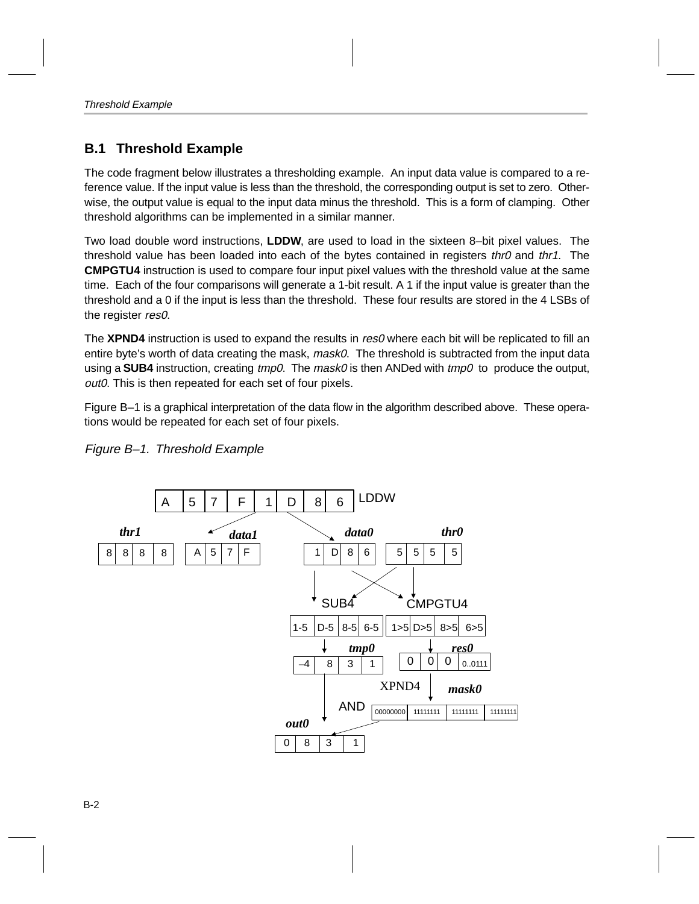### <span id="page-48-0"></span>**B.1 Threshold Example**

The code fragment below illustrates a thresholding example. An input data value is compared to a reference value. If the input value is less than the threshold, the corresponding output is set to zero. Otherwise, the output value is equal to the input data minus the threshold. This is a form of clamping. Other threshold algorithms can be implemented in a similar manner.

Two load double word instructions, **LDDW**, are used to load in the sixteen 8–bit pixel values. The threshold value has been loaded into each of the bytes contained in registers thr0 and thr1. The **CMPGTU4** instruction is used to compare four input pixel values with the threshold value at the same time. Each of the four comparisons will generate a 1-bit result. A 1 if the input value is greater than the threshold and a 0 if the input is less than the threshold. These four results are stored in the 4 LSBs of the register res0.

The **XPND4** instruction is used to expand the results in res0 where each bit will be replicated to fill an entire byte's worth of data creating the mask, *mask0*. The threshold is subtracted from the input data using a **SUB4** instruction, creating tmp0. The mask0 is then ANDed with tmp0 to produce the output, out0. This is then repeated for each set of four pixels.

Figure B–1 is a graphical interpretation of the data flow in the algorithm described above. These operations would be repeated for each set of four pixels.



Figure B–1. Threshold Example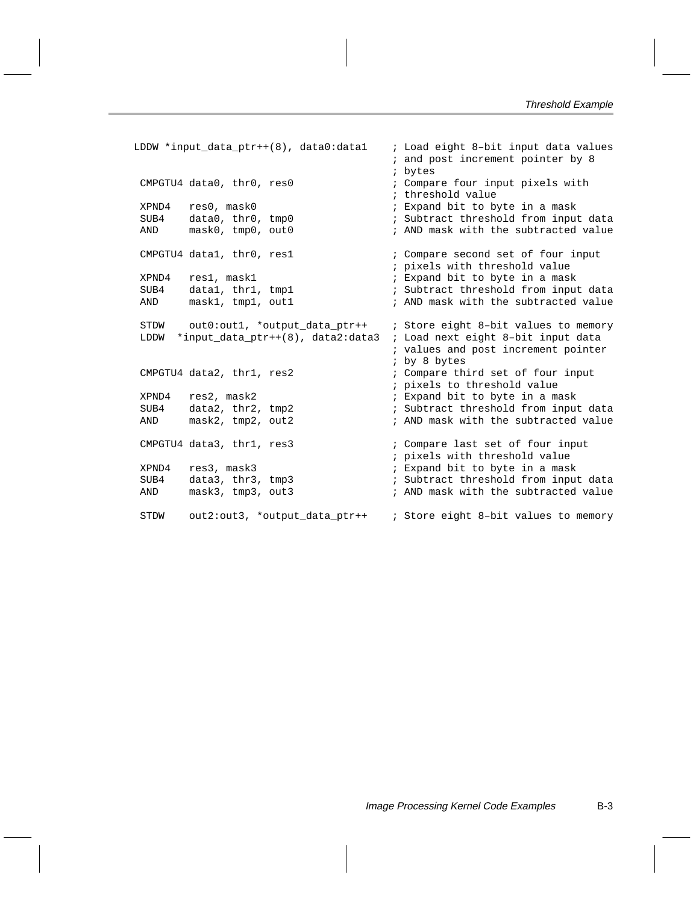```
LDDW *input_data_ptr++(8), data0:data1 ; Load eight 8-bit input data values
                                     ; and post increment pointer by 8
                                     ; bytes
CMPGTU4 data0, thr0, res0 \qquad \qquad ; Compare four input pixels with
                                    ; threshold value
XPND4 res0, mask0 \cdot i Expand bit to byte in a mask
SUB4 data0, thr0, tmp0 ; Subtract threshold from input data
AND mask0, tmp0, out0 \qquad \qquad ; AND mask with the subtracted value
CMPGTU4 data1, thr0, res1 \qquad \qquad ; Compare second set of four input
                                    ; pixels with threshold value
XPND4 res1, mask1 \cdot ; Expand bit to byte in a mask
SUB4 data1, thr1, tmp1 ; Subtract threshold from input data
AND mask1, tmp1, out1 ; AND mask with the subtracted value
STDW out0:out1, *output_data_ptr++ ; Store eight 8-bit values to memory
 LDDW *input_data_ptr++(8), data2:data3 ; Load next eight 8–bit input data
                                     ; values and post increment pointer
                                     ; by 8 bytes
CMPGTU4 data2, thr1, res2 ; Compare third set of four input
                                    ; pixels to threshold value
XPND4 res2, mask2 \cdot ; Expand bit to byte in a mask
SUB4 data2, thr2, tmp2 ; Subtract threshold from input data
AND mask2, tmp2, out2 ; AND mask with the subtracted value
CMPGTU4 data3, thr1, res3 ; Compare last set of four input
                                    ; pixels with threshold value
XPND4 res3, mask3 \cdot ; Expand bit to byte in a mask
SUB4 data3, thr3, tmp3 ; Subtract threshold from input data
AND mask3, tmp3, out3 ; AND mask with the subtracted value
 STDW out2:out3, *output_data_ptr++ ; Store eight 8–bit values to memory
```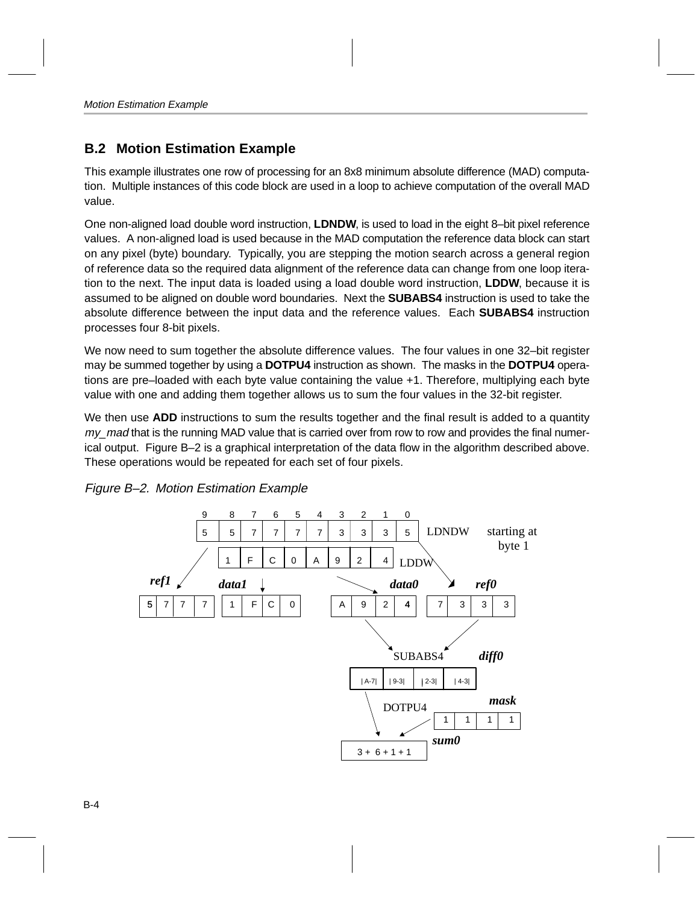### <span id="page-50-0"></span>**B.2 Motion Estimation Example**

This example illustrates one row of processing for an 8x8 minimum absolute difference (MAD) computation. Multiple instances of this code block are used in a loop to achieve computation of the overall MAD value.

One non-aligned load double word instruction, **LDNDW**, is used to load in the eight 8–bit pixel reference values. A non-aligned load is used because in the MAD computation the reference data block can start on any pixel (byte) boundary. Typically, you are stepping the motion search across a general region of reference data so the required data alignment of the reference data can change from one loop iteration to the next. The input data is loaded using a load double word instruction, **LDDW**, because it is assumed to be aligned on double word boundaries. Next the **SUBABS4** instruction is used to take the absolute difference between the input data and the reference values. Each **SUBABS4** instruction processes four 8-bit pixels.

We now need to sum together the absolute difference values. The four values in one 32–bit register may be summed together by using a **DOTPU4** instruction as shown. The masks in the **DOTPU4** operations are pre–loaded with each byte value containing the value +1. Therefore, multiplying each byte value with one and adding them together allows us to sum the four values in the 32-bit register.

We then use **ADD** instructions to sum the results together and the final result is added to a quantity my\_mad that is the running MAD value that is carried over from row to row and provides the final numerical output. Figure B–2 is a graphical interpretation of the data flow in the algorithm described above. These operations would be repeated for each set of four pixels.



Figure B–2. Motion Estimation Example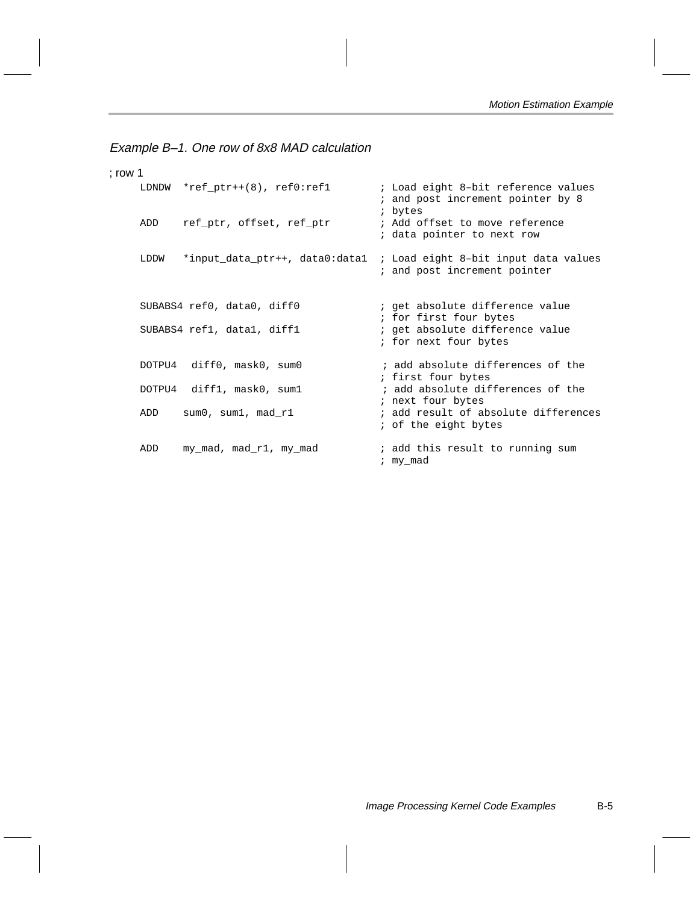Example B–1. One row of 8x8 MAD calculation

```
; row 1
    LDNDW *ref_ptr++(8), ref0:ref1 ; Load eight 8-bit reference values
                                          ; and post increment pointer by 8
                                          ; bytes
    ADD ref_ptr, offset, ref_ptr ; Add offset to move reference
                                          ; data pointer to next row
    LDDW *input_data_ptr++, data0:data1 ; Load eight 8-bit input data values
                                          ; and post increment pointer
    SUBABS4 ref0, data0, diff0 \qquad ; get absolute difference value
                                         ; for first four bytes
    SUBABS4 refl, datal, diff1 \qquad ; get absolute difference value
                                         ; for next four bytes
    DOTPU4 diff0, mask0, sum0 ; add absolute differences of the
                                         ; first four bytes
    DOTPU4 diff1, mask0, sum1 ; add absolute differences of the
                                        ; next four bytes
    ADD sum0, sum1, mad_r1 \qquad \qquad ; add result of absolute differences
                                          ; of the eight bytes
    ADD my_mad, mad_r1, my_mad ; add this result to running sum
                                          ; my_mad
```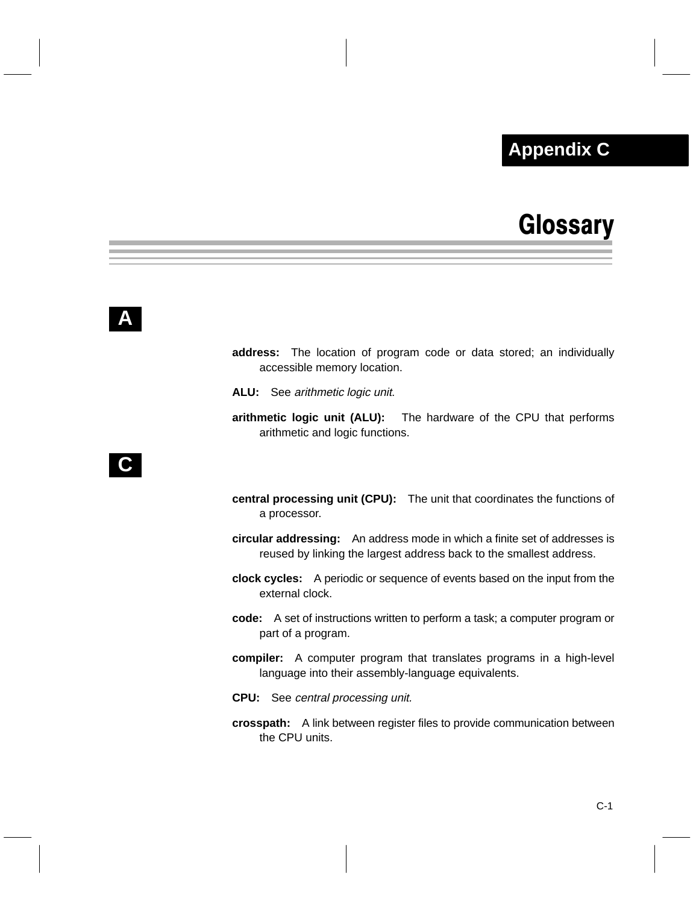### **Appendix A Appendix C**

## **Glossary**

- <span id="page-52-0"></span>**address:** The location of program code or data stored; an individually accessible memory location.
- **ALU:** See arithmetic logic unit.
- **arithmetic logic unit (ALU):** The hardware of the CPU that performs arithmetic and logic functions.

## **C**

- **central processing unit (CPU):** The unit that coordinates the functions of a processor.
- **circular addressing:** An address mode in which a finite set of addresses is reused by linking the largest address back to the smallest address.
- **clock cycles:** A periodic or sequence of events based on the input from the external clock.
- **code:** A set of instructions written to perform a task; a computer program or part of a program.
- **compiler:** A computer program that translates programs in a high-level language into their assembly-language equivalents.
- **CPU:** See central processing unit.
- **crosspath:** A link between register files to provide communication between the CPU units.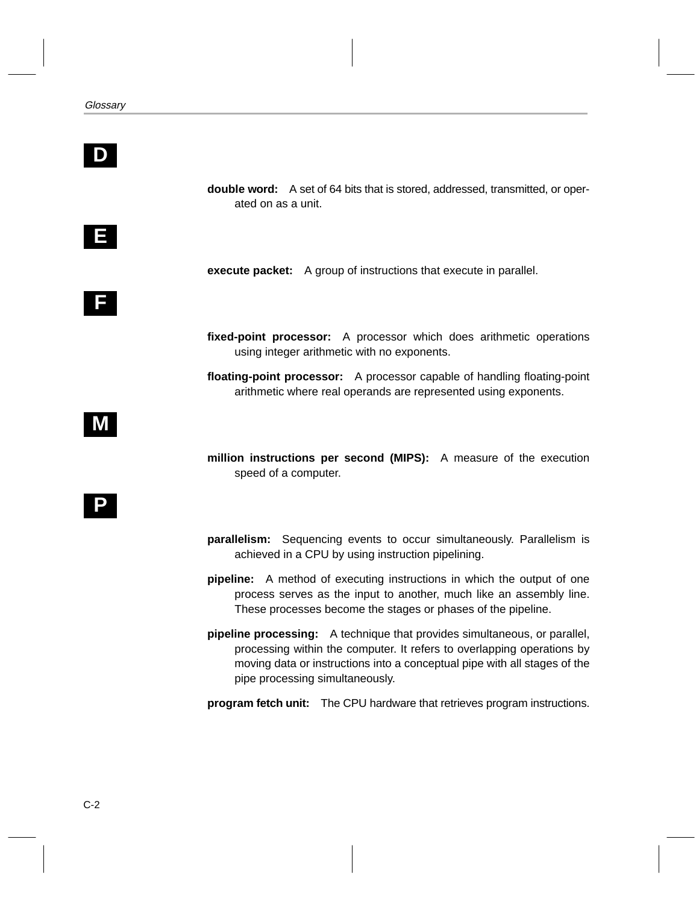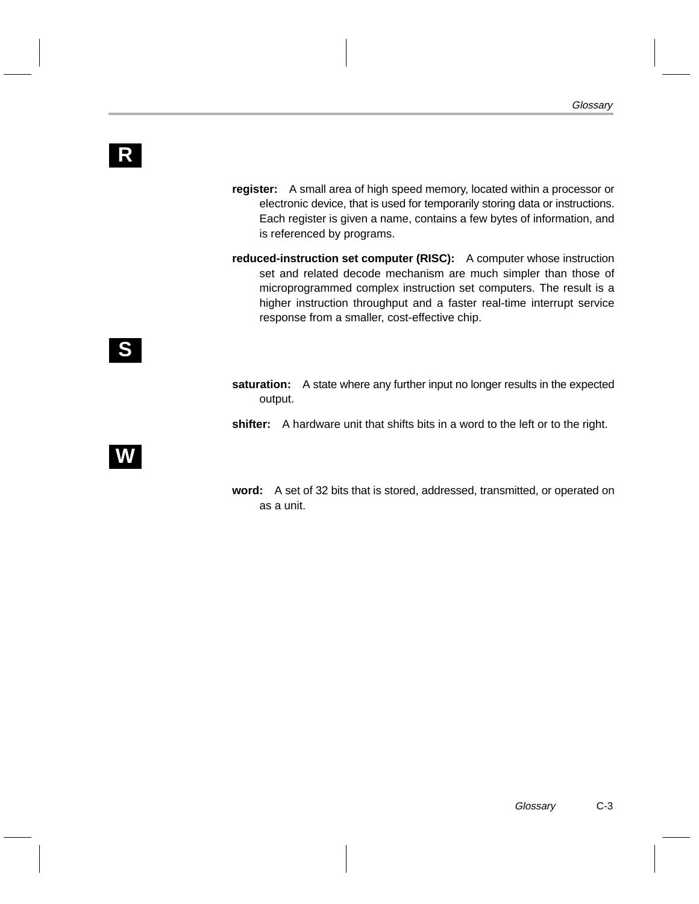- **register:** A small area of high speed memory, located within a processor or electronic device, that is used for temporarily storing data or instructions. Each register is given a name, contains a few bytes of information, and is referenced by programs.
- **reduced-instruction set computer (RISC):** A computer whose instruction set and related decode mechanism are much simpler than those of microprogrammed complex instruction set computers. The result is a higher instruction throughput and a faster real-time interrupt service response from a smaller, cost-effective chip.

- **saturation:** A state where any further input no longer results in the expected output.
- **shifter:** A hardware unit that shifts bits in a word to the left or to the right.

## **W**

**word:** A set of 32 bits that is stored, addressed, transmitted, or operated on as a unit.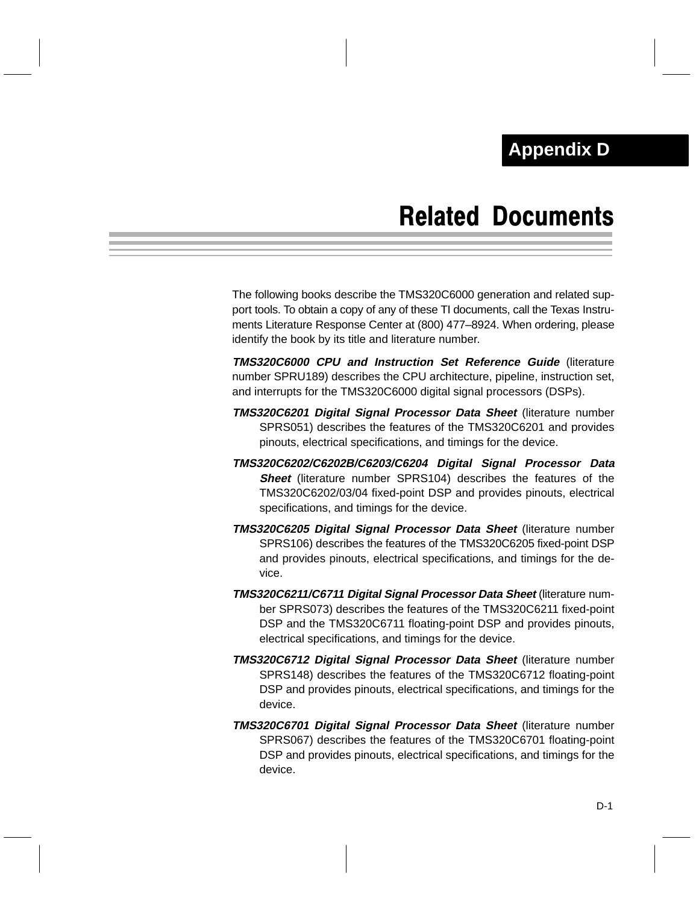## Related Documents

<span id="page-55-0"></span>The following books describe the TMS320C6000 generation and related support tools. To obtain a copy of any of these TI documents, call the Texas Instruments Literature Response Center at (800) 477–8924. When ordering, please identify the book by its title and literature number.

**TMS320C6000 CPU and Instruction Set Reference Guide** (literature number SPRU189) describes the CPU architecture, pipeline, instruction set, and interrupts for the TMS320C6000 digital signal processors (DSPs).

- **TMS320C6201 Digital Signal Processor Data Sheet** (literature number SPRS051) describes the features of the TMS320C6201 and provides pinouts, electrical specifications, and timings for the device.
- **TMS320C6202/C6202B/C6203/C6204 Digital Signal Processor Data Sheet** (literature number SPRS104) describes the features of the TMS320C6202/03/04 fixed-point DSP and provides pinouts, electrical specifications, and timings for the device.
- **TMS320C6205 Digital Signal Processor Data Sheet** (literature number SPRS106) describes the features of the TMS320C6205 fixed-point DSP and provides pinouts, electrical specifications, and timings for the device.
- **TMS320C6211/C6711 Digital Signal Processor Data Sheet** (literature number SPRS073) describes the features of the TMS320C6211 fixed-point DSP and the TMS320C6711 floating-point DSP and provides pinouts, electrical specifications, and timings for the device.
- **TMS320C6712 Digital Signal Processor Data Sheet** (literature number SPRS148) describes the features of the TMS320C6712 floating-point DSP and provides pinouts, electrical specifications, and timings for the device.
- **TMS320C6701 Digital Signal Processor Data Sheet** (literature number SPRS067) describes the features of the TMS320C6701 floating-point DSP and provides pinouts, electrical specifications, and timings for the device.